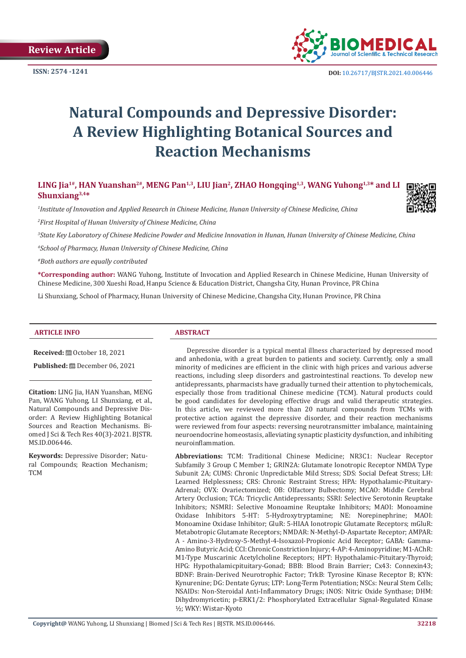**Review Article** 



# **Natural Compounds and Depressive Disorder: A Review Highlighting Botanical Sources and Reaction Mechanisms**

LING Jia<sup>1#</sup>, HAN Yuanshan<sup>2#</sup>, MENG Pan<sup>1,3</sup>, LIU Jian<sup>2</sup>, ZHAO Hongqing<sup>1,3</sup>, WANG Yuhong<sup>1,3\*</sup> and LI **Shunxiang3,4\***

*1 Institute of Innovation and Applied Research in Chinese Medicine, Hunan University of Chinese Medicine, China*

*2 First Hospital of Hunan University of Chinese Medicine, China*

*3 State Key Laboratory of Chinese Medicine Powder and Medicine Innovation in Hunan, Hunan University of Chinese Medicine, China*

*4 School of Pharmacy, Hunan University of Chinese Medicine, China*

*#Both authors are equally contributed*

**\*Corresponding author:** WANG Yuhong, Institute of Invocation and Applied Research in Chinese Medicine, Hunan University of Chinese Medicine, 300 Xueshi Road, Hanpu Science & Education District, Changsha City, Hunan Province, PR China

Li Shunxiang, School of Pharmacy, Hunan University of Chinese Medicine, Changsha City, Hunan Province, PR China

#### **ARTICLE INFO ABSTRACT**

**Received:** ■ October 18, 2021

**Published:** December 06, 2021

**Citation:** LING Jia, HAN Yuanshan, MENG Pan, WANG Yuhong, LI Shunxiang, et al., Natural Compounds and Depressive Disorder: A Review Highlighting Botanical Sources and Reaction Mechanisms. Biomed J Sci & Tech Res 40(3)-2021. BJSTR. MS.ID.006446.

**Keywords:** Depressive Disorder; Natural Compounds; Reaction Mechanism; TCM

Depressive disorder is a typical mental illness characterized by depressed mood and anhedonia, with a great burden to patients and society. Currently, only a small minority of medicines are efficient in the clinic with high prices and various adverse reactions, including sleep disorders and gastrointestinal reactions. To develop new antidepressants, pharmacists have gradually turned their attention to phytochemicals, especially those from traditional Chinese medicine (TCM). Natural products could be good candidates for developing effective drugs and valid therapeutic strategies. In this article, we reviewed more than 20 natural compounds from TCMs with protective action against the depressive disorder, and their reaction mechanisms were reviewed from four aspects: reversing neurotransmitter imbalance, maintaining neuroendocrine homeostasis, alleviating synaptic plasticity dysfunction, and inhibiting neuroinflammation.

**Abbreviations:** TCM: Traditional Chinese Medicine; NR3C1: Nuclear Receptor Subfamily 3 Group C Member 1; GRIN2A: Glutamate Ionotropic Receptor NMDA Type Subunit 2A; CUMS: Chronic Unpredictable Mild Stress; SDS: Social Defeat Stress; LH: Learned Helplessness; CRS: Chronic Restraint Stress; HPA: Hypothalamic-Pituitary-Adrenal; OVX: Ovariectomized; OB: Olfactory Bulbectomy; MCAO: Middle Cerebral Artery Occlusion; TCA: Tricyclic Antidepressants; SSRI: Selective Serotonin Reuptake Inhibitors; NSMRI: Selective Monoamine Reuptake Inhibitors; MAOI: Monoamine Oxidase Inhibitors 5-HT: 5-Hydroxytryptamine; NE: Norepinephrine; MAOI: Monoamine Oxidase Inhibitor; GluR: 5-HIAA Ionotropic Glutamate Receptors; mGluR: Metabotropic Glutamate Receptors; NMDAR: N-Methyl-D-Aspartate Receptor; AMPAR: Α - Amino-3-Hydroxy-5-Methyl-4-Isoxazol-Propionic Acid Receptor; GABA: Gamma-Amino Butyric Acid; CCI: Chronic Constriction Injury; 4-AP: 4-Aminopyridine; M1-AChR: M1-Type Muscarinic Acetylcholine Receptors; HPT: Hypothalamic-Pituitary-Thyroid; HPG: Hypothalamicpituitary-Gonad; BBB: Blood Brain Barrier; Cx43: Connexin43; BDNF: Brain-Derived Neurotrophic Factor; TrkB: Tyrosine Kinase Receptor B; KYN: Kynurenine; DG: Dentate Gyrus; LTP: Long-Term Potentiation; NSCs: Neural Stem Cells; NSAIDs: Non-Steroidal Anti-Inflammatory Drugs; iNOS: Nitric Oxide Synthase; DHM: Dihydromyricetin; p-ERK1/2: Phosphorylated Extracellular Signal-Regulated Kinase ½; WKY: Wistar-Kyoto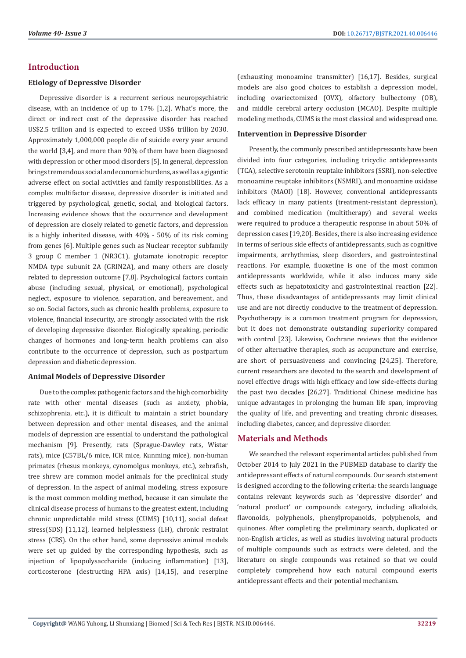# **Introduction**

#### **Etiology of Depressive Disorder**

Depressive disorder is a recurrent serious neuropsychiatric disease, with an incidence of up to 17% [1,2]. What's more, the direct or indirect cost of the depressive disorder has reached US\$2.5 trillion and is expected to exceed US\$6 trillion by 2030. Approximately 1,000,000 people die of suicide every year around the world [3,4], and more than 90% of them have been diagnosed with depression or other mood disorders [5]. In general, depression brings tremendous social and economic burdens, as well as a gigantic adverse effect on social activities and family responsibilities. As a complex multifactor disease, depressive disorder is initiated and triggered by psychological, genetic, social, and biological factors. Increasing evidence shows that the occurrence and development of depression are closely related to genetic factors, and depression is a highly inherited disease, with 40% - 50% of its risk coming from genes [6]. Multiple genes such as Nuclear receptor subfamily 3 group C member 1 (NR3C1), glutamate ionotropic receptor NMDA type subunit 2A (GRIN2A), and many others are closely related to depression outcome [7,8]. Psychological factors contain abuse (including sexual, physical, or emotional), psychological neglect, exposure to violence, separation, and bereavement, and so on. Social factors, such as chronic health problems, exposure to violence, financial insecurity, are strongly associated with the risk of developing depressive disorder. Biologically speaking, periodic changes of hormones and long-term health problems can also contribute to the occurrence of depression, such as postpartum depression and diabetic depression.

## **Animal Models of Depressive Disorder**

Due to the complex pathogenic factors and the high comorbidity rate with other mental diseases (such as anxiety, phobia, schizophrenia, etc.), it is difficult to maintain a strict boundary between depression and other mental diseases, and the animal models of depression are essential to understand the pathological mechanism [9]. Presently, rats (Sprague-Dawley rats, Wistar rats), mice (C57BL/6 mice, ICR mice, Kunming mice), non-human primates (rhesus monkeys, cynomolgus monkeys, etc.), zebrafish, tree shrew are common model animals for the preclinical study of depression. In the aspect of animal modeling, stress exposure is the most common molding method, because it can simulate the clinical disease process of humans to the greatest extent, including chronic unpredictable mild stress (CUMS) [10,11], social defeat stress(SDS) [11,12], learned helplessness (LH), chronic restraint stress (CRS). On the other hand, some depressive animal models were set up guided by the corresponding hypothesis, such as injection of lipopolysaccharide (inducing inflammation) [13], corticosterone (destructing HPA axis) [14,15], and reserpine (exhausting monoamine transmitter) [16,17]. Besides, surgical models are also good choices to establish a depression model, including ovariectomized (OVX), olfactory bulbectomy (OB), and middle cerebral artery occlusion (MCAO). Despite multiple modeling methods, CUMS is the most classical and widespread one.

#### **Intervention in Depressive Disorder**

Presently, the commonly prescribed antidepressants have been divided into four categories, including tricyclic antidepressants (TCA), selective serotonin reuptake inhibitors (SSRI), non-selective monoamine reuptake inhibitors (NSMRI), and monoamine oxidase inhibitors (MAOI) [18]. However, conventional antidepressants lack efficacy in many patients (treatment-resistant depression), and combined medication (multitherapy) and several weeks were required to produce a therapeutic response in about 50% of depression cases [19,20]. Besides, there is also increasing evidence in terms of serious side effects of antidepressants, such as cognitive impairments, arrhythmias, sleep disorders, and gastrointestinal reactions. For example, fluoxetine is one of the most common antidepressants worldwide, while it also induces many side effects such as hepatotoxicity and gastrointestinal reaction [22]. Thus, these disadvantages of antidepressants may limit clinical use and are not directly conducive to the treatment of depression. Psychotherapy is a common treatment program for depression, but it does not demonstrate outstanding superiority compared with control [23]. Likewise, Cochrane reviews that the evidence of other alternative therapies, such as acupuncture and exercise, are short of persuasiveness and convincing [24,25]. Therefore, current researchers are devoted to the search and development of novel effective drugs with high efficacy and low side-effects during the past two decades [26,27]. Traditional Chinese medicine has unique advantages in prolonging the human life span, improving the quality of life, and preventing and treating chronic diseases, including diabetes, cancer, and depressive disorder.

## **Materials and Methods**

We searched the relevant experimental articles published from October 2014 to July 2021 in the PUBMED database to clarify the antidepressant effects of natural compounds. Our search statement is designed according to the following criteria: the search language contains relevant keywords such as 'depressive disorder' and 'natural product' or compounds category, including alkaloids, flavonoids, polyphenols, phenylpropanoids, polyphenols, and quinones. After completing the preliminary search, duplicated or non-English articles, as well as studies involving natural products of multiple compounds such as extracts were deleted, and the literature on single compounds was retained so that we could completely comprehend how each natural compound exerts antidepressant effects and their potential mechanism.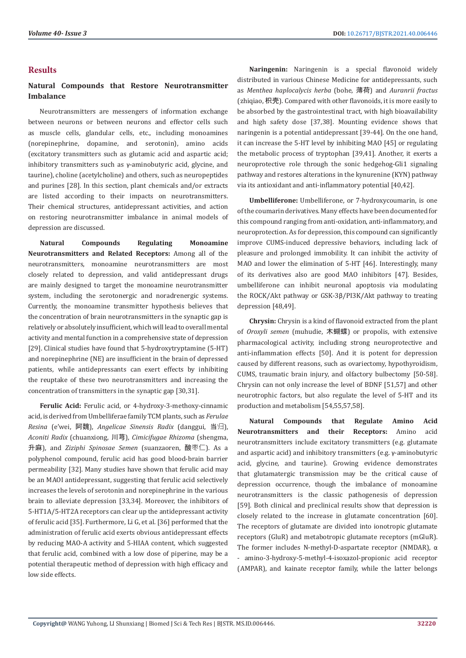# **Results**

# **Natural Compounds that Restore Neurotransmitter Imbalance**

Neurotransmitters are messengers of information exchange between neurons or between neurons and effector cells such as muscle cells, glandular cells, etc., including monoamines (norepinephrine, dopamine, and serotonin), amino acids (excitatory transmitters such as glutamic acid and aspartic acid; inhibitory transmitters such as γ-aminobutyric acid, glycine, and taurine), choline (acetylcholine) and others, such as neuropeptides and purines [28]. In this section, plant chemicals and/or extracts are listed according to their impacts on neurotransmitters. Their chemical structures, antidepressant activities, and action on restoring neurotransmitter imbalance in animal models of depression are discussed.

**Natural Compounds Regulating Monoamine Neurotransmitters and Related Receptors:** Among all of the neurotransmitters, monoamine neurotransmitters are most closely related to depression, and valid antidepressant drugs are mainly designed to target the monoamine neurotransmitter system, including the serotonergic and noradrenergic systems. Currently, the monoamine transmitter hypothesis believes that the concentration of brain neurotransmitters in the synaptic gap is relatively or absolutely insufficient, which will lead to overall mental activity and mental function in a comprehensive state of depression [29]. Clinical studies have found that 5-hydroxytryptamine (5-HT) and norepinephrine (NE) are insufficient in the brain of depressed patients, while antidepressants can exert effects by inhibiting the reuptake of these two neurotransmitters and increasing the concentration of transmitters in the synaptic gap [30,31].

**Ferulic Acid:** Ferulic acid, or 4-hydroxy-3-methoxy-cinnamic acid, is derived from Umbelliferae family TCM plants, such as *Ferulae Resina* (e'wei, 阿魏), *Angelicae Sinensis Radix* (danggui, 当归), *Aconiti Radix* (chuanxiong, 川芎), *Cimicifugae Rhizoma* (shengma, 升麻), and *Ziziphi Spinosae Semen* (suanzaoren, 酸枣仁). As a polyphenol compound, ferulic acid has good blood-brain barrier permeability [32]. Many studies have shown that ferulic acid may be an MAOI antidepressant, suggesting that ferulic acid selectively increases the levels of serotonin and norepinephrine in the various brain to alleviate depression [33,34]. Moreover, the inhibitors of 5-HT1A/5-HT2A receptors can clear up the antidepressant activity of ferulic acid [35]. Furthermore, Li G, et al. [36] performed that the administration of ferulic acid exerts obvious antidepressant effects by reducing MAO-A activity and 5-HIAA content, which suggested that ferulic acid, combined with a low dose of piperine, may be a potential therapeutic method of depression with high efficacy and low side effects.

**Naringenin:** Naringenin is a special flavonoid widely distributed in various Chinese Medicine for antidepressants, such as *Menthea haplocalycis herba* (bohe, 薄荷) and *Auranrii fractus* (zhiqiao, 枳壳). Compared with other flavonoids, it is more easily to be absorbed by the gastrointestinal tract, with high bioavailability and high safety dose [37,38]. Mounting evidence shows that naringenin is a potential antidepressant [39-44]. On the one hand, it can increase the 5-HT level by inhibiting MAO [45] or regulating the metabolic process of tryptophan [39,41]. Another, it exerts a neuroprotective role through the sonic hedgehog-Gli1 signaling pathway and restores alterations in the kynurenine (KYN) pathway via its antioxidant and anti-inflammatory potential [40,42].

**Umbelliferone:** Umbelliferone, or 7-hydroxycoumarin, is one of the coumarin derivatives. Many effects have been documented for this compound ranging from anti-oxidation, anti-inflammatory, and neuroprotection. As for depression, this compound can significantly improve CUMS-induced depressive behaviors, including lack of pleasure and prolonged immobility. It can inhibit the activity of MAO and lower the elimination of 5-HT [46]. Interestingly, many of its derivatives also are good MAO inhibitors [47]. Besides, umbelliferone can inhibit neuronal apoptosis via modulating the ROCK/Akt pathway or GSK-3β/PI3K/Akt pathway to treating depression [48,49].

**Chrysin:** Chrysin is a kind of flavonoid extracted from the plant of *Oroxyli semen* (muhudie, 木蝴蝶) or propolis, with extensive pharmacological activity, including strong neuroprotective and anti-inflammation effects [50]. And it is potent for depression caused by different reasons, such as ovariectomy, hypothyroidism, CUMS, traumatic brain injury, and olfactory bulbectomy [50-58]. Chrysin can not only increase the level of BDNF [51,57] and other neurotrophic factors, but also regulate the level of 5-HT and its production and metabolism [54,55,57,58].

**Natural Compounds that Regulate Amino Acid Neurotransmitters and their Receptors:** Amino acid neurotransmitters include excitatory transmitters (e.g. glutamate and aspartic acid) and inhibitory transmitters (e.g. γ-aminobutyric acid, glycine, and taurine). Growing evidence demonstrates that glutamatergic transmission may be the critical cause of depression occurrence, though the imbalance of monoamine neurotransmitters is the classic pathogenesis of depression [59]. Both clinical and preclinical results show that depression is closely related to the increase in glutamate concentration [60]. The receptors of glutamate are divided into ionotropic glutamate receptors (GluR) and metabotropic glutamate receptors (mGluR). The former includes N-methyl-D-aspartate receptor (NMDAR), α - amino-3-hydroxy-5-methyl-4-isoxazol-propionic acid receptor (AMPAR), and kainate receptor family, while the latter belongs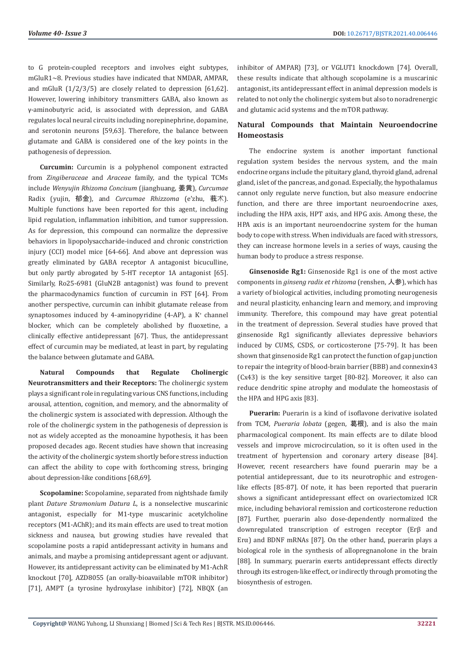to G protein-coupled receptors and involves eight subtypes, mGluR1~8. Previous studies have indicated that NMDAR, AMPAR, and mGluR (1/2/3/5) are closely related to depression [61,62]. However, lowering inhibitory transmitters GABA, also known as γ-aminobutyric acid, is associated with depression, and GABA regulates local neural circuits including norepinephrine, dopamine, and serotonin neurons [59,63]. Therefore, the balance between glutamate and GABA is considered one of the key points in the pathogenesis of depression.

**Curcumin:** Curcumin is a polyphenol component extracted from *Zingiberaceae* and *Araceae* family, and the typical TCMs include *Wenyujin Rhizoma Concisum* (jianghuang, 姜黄), *Curcumae* Radix (yujin, 郁金), and *Curcumae Rhizzoma* (e'zhu, 莪术). Multiple functions have been reported for this agent, including lipid regulation, inflammation inhibition, and tumor suppression. As for depression, this compound can normalize the depressive behaviors in lipopolysaccharide-induced and chronic constriction injury (CCI) model mice [64-66]. And above ant depression was greatly eliminated by GABA receptor A antagonist bicuculline, but only partly abrogated by 5-HT receptor 1A antagonist [65]. Similarly, Ro25-6981 (GluN2B antagonist) was found to prevent the pharmacodynamics function of curcumin in FST [64]. From another perspective, curcumin can inhibit glutamate release from synaptosomes induced by 4-aminopyridine (4-AP), a K<sup>+</sup> channel blocker, which can be completely abolished by fluoxetine, a clinically effective antidepressant [67]. Thus, the antidepressant effect of curcumin may be mediated, at least in part, by regulating the balance between glutamate and GABA.

**Natural Compounds that Regulate Cholinergic Neurotransmitters and their Receptors:** The cholinergic system plays a significant role in regulating various CNS functions, including arousal, attention, cognition, and memory, and the abnormality of the cholinergic system is associated with depression. Although the role of the cholinergic system in the pathogenesis of depression is not as widely accepted as the monoamine hypothesis, it has been proposed decades ago. Recent studies have shown that increasing the activity of the cholinergic system shortly before stress induction can affect the ability to cope with forthcoming stress, bringing about depression-like conditions [68,69].

**Scopolamine:** Scopolamine, separated from nightshade family plant *Dature Stramonium Datura L*, is a nonselective muscarinic antagonist, especially for M1-type muscarinic acetylcholine receptors (M1-AChR); and its main effects are used to treat motion sickness and nausea, but growing studies have revealed that scopolamine posts a rapid antidepressant activity in humans and animals, and maybe a promising antidepressant agent or adjuvant. However, its antidepressant activity can be eliminated by M1-AchR knockout [70], AZD8055 (an orally-bioavailable mTOR inhibitor) [71], AMPT (a tyrosine hydroxylase inhibitor) [72], NBQX (an

inhibitor of AMPAR) [73], or VGLUT1 knockdown [74]. Overall, these results indicate that although scopolamine is a muscarinic antagonist, its antidepressant effect in animal depression models is related to not only the cholinergic system but also to noradrenergic and glutamic acid systems and the mTOR pathway.

# **Natural Compounds that Maintain Neuroendocrine Homeostasis**

The endocrine system is another important functional regulation system besides the nervous system, and the main endocrine organs include the pituitary gland, thyroid gland, adrenal gland, islet of the pancreas, and gonad. Especially, the hypothalamus cannot only regulate nerve function, but also measure endocrine function, and there are three important neuroendocrine axes, including the HPA axis, HPT axis, and HPG axis. Among these, the HPA axis is an important neuroendocrine system for the human body to cope with stress. When individuals are faced with stressors, they can increase hormone levels in a series of ways, causing the human body to produce a stress response.

**Ginsenoside Rg1:** Ginsenoside Rg1 is one of the most active components in *ginseng radix et rhizoma* (renshen, 人参), which has a variety of biological activities, including promoting neurogenesis and neural plasticity, enhancing learn and memory, and improving immunity. Therefore, this compound may have great potential in the treatment of depression. Several studies have proved that ginsenoside Rg1 significantly alleviates depressive behaviors induced by CUMS, CSDS, or corticosterone [75-79]. It has been shown that ginsenoside Rg1 can protect the function of gap junction to repair the integrity of blood-brain barrier (BBB) and connexin43 (Cx43) is the key sensitive target [80-82]. Moreover, it also can reduce dendritic spine atrophy and modulate the homeostasis of the HPA and HPG axis [83].

**Puerarin:** Puerarin is a kind of isoflavone derivative isolated from TCM, *Pueraria lobata* (gegen, 葛根), and is also the main pharmacological component. Its main effects are to dilate blood vessels and improve microcirculation, so it is often used in the treatment of hypertension and coronary artery disease [84]. However, recent researchers have found puerarin may be a potential antidepressant, due to its neurotrophic and estrogenlike effects [85-87]. Of note, it has been reported that puerarin shows a significant antidepressant effect on ovariectomized ICR mice, including behavioral remission and corticosterone reduction [87]. Further, puerarin also dose-dependently normalized the downregulated transcription of estrogen receptor (Erβ and Erα) and BDNF mRNAs [87]. On the other hand, puerarin plays a biological role in the synthesis of allopregnanolone in the brain [88]. In summary, puerarin exerts antidepressant effects directly through its estrogen-like effect, or indirectly through promoting the biosynthesis of estrogen.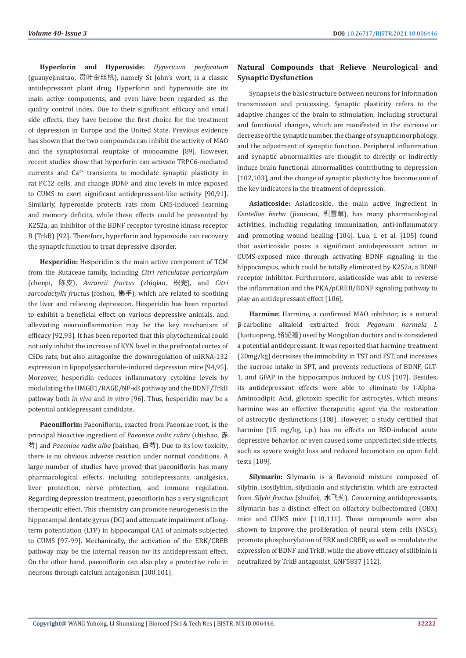**Hyperforin and Hyperoside:** *Hypericum perforatum* (guanyejinsitao, 贯叶金丝桃), namely St John's wort, is a classic antidepressant plant drug. Hyperforin and hyperoside are its main active components, and even have been regarded as the quality control index. Due to their significant efficacy and small side effects, they have become the first choice for the treatment of depression in Europe and the United State. Previous evidence has shown that the two compounds can inhibit the activity of MAO and the synaptosomal reuptake of monoamine [89]. However, recent studies show that hyperforin can activate TRPC6-mediated currents and  $Ca^{2+}$  transients to modulate synaptic plasticity in rat PC12 cells, and change BDNF and zinc levels in mice exposed to CUMS to exert significant antidepressant-like activity [90,91]. Similarly, hyperoside protects rats from CMS-induced learning and memory deficits, while these effects could be prevented by K252a, an inhibitor of the BDNF receptor tyrosine kinase receptor B (TrkB) [92]. Therefore, hyperforin and hyperoside can recovery the synaptic function to treat depressive disorder.

**Hesperidin:** Hesperidin is the main active component of TCM from the Rutaceae family, including *Citri reticulatae pericarpium* (chenpi, 陈皮), *Auranrii fractus* (zhiqiao, 枳壳), and *Citri sarcodactylis fructus* (foshou, 佛手), which are related to soothing the liver and relieving depression. Hesperidin has been reported to exhibit a beneficial effect on various depressive animals, and alleviating neuroinflammation may be the key mechanism of efficacy [92,93]. It has been reported that this phytochemical could not only inhibit the increase of KYN level in the prefrontal cortex of CSDs rats, but also antagonize the downregulation of miRNA-132 expression in lipopolysaccharide-induced depression mice [94,95]. Moreover, hesperidin reduces inflammatory cytokine levels by modulating the HMGB1/RAGE/NF-κB pathway and the BDNF/TrkB pathway both *in vivo* and *in vitro* [96]. Thus, hesperidin may be a potential antidepressant candidate.

**Paeoniflorin:** Paeoniflorin, exacted from Paeoniae root, is the principal bioactive ingredient of *Paeoniae radix rubra* (chishao, 赤 芍) and *Paeoniae radix alba* (baishao, 白芍). Due to its low toxicity, there is no obvious adverse reaction under normal conditions. A large number of studies have proved that paeoniflorin has many pharmacological effects, including antidepressants, analgesics, liver protection, nerve protection, and immune regulation. Regarding depression treatment, paeoniflorin has a very significant therapeutic effect. This chemistry can promote neurogenesis in the hippocampal dentate gyrus (DG) and attenuate impairment of longterm potentiation (LTP) in hippocampal CA1 of animals subjected to CUMS [97-99]. Mechanically, the activation of the ERK/CREB pathway may be the internal reason for its antidepressant effect. On the other hand, paeoniflorin can also play a protective role in neurons through calcium antagonism [100,101].

# **Natural Compounds that Relieve Neurological and Synaptic Dysfunction**

Synapse is the basic structure between neurons for information transmission and processing. Synaptic plasticity refers to the adaptive changes of the brain to stimulation, including structural and functional changes, which are manifested in the increase or decrease of the synaptic number, the change of synaptic morphology, and the adjustment of synaptic function. Peripheral inflammation and synaptic abnormalities are thought to directly or indirectly induce brain functional abnormalities contributing to depression [102,103], and the change of synaptic plasticity has become one of the key indicators in the treatment of depression.

**Asiaticoside:** Asiaticoside, the main active ingredient in *Centellae herba* (jixuecao, 积雪草), has many pharmacological activities, including regulating immunization, anti-inflammatory and promoting wound healing [104]. Luo, L et al. [105] found that asiaticoside poses a significant antidepressant action in CUMS-exposed mice through activating BDNF signaling in the hippocampus, which could be totally eliminated by K252a, a BDNF receptor inhibitor. Furthermore, asiaticoside was able to reverse the inflammation and the PKA/pCREB/BDNF signaling pathway to play an antidepressant effect [106].

**Harmine:** Harmine, a confirmed MAO inhibitor, is a natural β-carboline alkaloid extracted from *Peganum harmala L* (luotuopeng, 骆驼蓬) used by Mongolian doctors and is considered a potential antidepressant. It was reported that harmine treatment (20mg/kg) decreases the immobility in TST and FST, and increases the sucrose intake in SPT, and prevents reductions of BDNF, GLT-1, and GFAP in the hippocampus induced by CUS [107]. Besides, its antidepressant effects were able to eliminate by l-Alpha-Aminoadipic Acid, gliotoxin specific for astrocytes, which means harmine was an effective therapeutic agent via the restoration of astrocytic dysfunctions [108]. However, a study certified that harmine (15 mg/kg, i.p.) has no effects on RSD-induced acute depressive behavior, or even caused some unpredicted side effects, such as severe weight loss and reduced locomotion on open field tests [109].

**Silymarin:** Silymarin is a flavonoid mixture composed of silybin, isosilybim, silydianin and silychristin, which are extracted from *Silybi fructus* (shuifeij, 水飞蓟). Concerning antidepressants, silymarin has a distinct effect on olfactory bulbectomized (OBX) mice and CUMS mice [110,111]. These compounds were also shown to improve the proliferation of neural stem cells (NSCs), promote phosphorylation of ERK and CREB, as well as modulate the expression of BDNF and TrkB, while the above efficacy of silibinin is neutralized by TrkB antagonist, GNF5837 [112].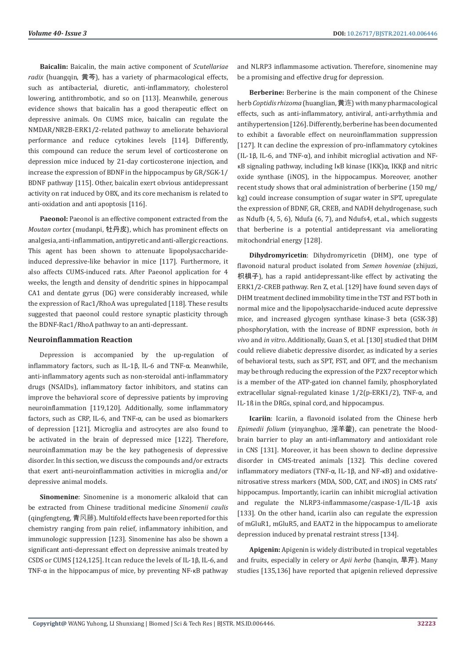**Baicalin:** Baicalin, the main active component of *Scutellariae radix* (huangqin, 黄芩), has a variety of pharmacological effects, such as antibacterial, diuretic, anti-inflammatory, cholesterol lowering, antithrombotic, and so on [113]. Meanwhile, generous evidence shows that baicalin has a good therapeutic effect on depressive animals. On CUMS mice, baicalin can regulate the NMDAR/NR2B-ERK1/2-related pathway to ameliorate behavioral performance and reduce cytokines levels [114]. Differently, this compound can reduce the serum level of corticosterone on depression mice induced by 21-day corticosterone injection, and increase the expression of BDNF in the hippocampus by GR/SGK-1/ BDNF pathway [115]. Other, baicalin exert obvious antidepressant activity on rat induced by OBX, and its core mechanism is related to anti-oxidation and anti apoptosis [116].

Paeonol: Paeonol is an effective component extracted from the *Moutan cortex* (mudanpi, 牡丹皮), which has prominent effects on analgesia, anti-inflammation, antipyretic and anti-allergic reactions. This agent has been shown to attenuate lipopolysaccharideinduced depressive-like behavior in mice [117]. Furthermore, it also affects CUMS-induced rats. After Paeonol application for 4 weeks, the length and density of dendritic spines in hippocampal CA1 and dentate gyrus (DG) were considerably increased, while the expression of Rac1/RhoA was upregulated [118]. These results suggested that paeonol could restore synaptic plasticity through the BDNF-Rac1/RhoA pathway to an anti-depressant.

#### **Neuroinflammation Reaction**

Depression is accompanied by the up-regulation of inflammatory factors, such as IL-1β, IL-6 and TNF-α. Meanwhile, anti-inflammatory agents such as non-steroidal anti-inflammatory drugs (NSAIDs), inflammatory factor inhibitors, and statins can improve the behavioral score of depressive patients by improving neuroinflammation [119,120]. Additionally, some inflammatory factors, such as CRP, IL-6, and TNF-α, can be used as biomarkers of depression [121]. Microglia and astrocytes are also found to be activated in the brain of depressed mice [122]. Therefore, neuroinflammation may be the key pathogenesis of depressive disorder. In this section, we discuss the compounds and/or extracts that exert anti-neuroinflammation activities in microglia and/or depressive animal models.

**Sinomenine**: Sinomenine is a monomeric alkaloid that can be extracted from Chinese traditional medicine *Sinomenii caulis* (qingfengteng, 青风藤). Multifold effects have been reported for this chemistry ranging from pain relief, inflammatory inhibition, and immunologic suppression [123]. Sinomenine has also be shown a significant anti-depressant effect on depressive animals treated by CSDS or CUMS [124,125]. It can reduce the levels of IL-1β, IL-6, and TNF-α in the hippocampus of mice, by preventing NF-κB pathway

and NLRP3 inflammasome activation. Therefore, sinomenine may be a promising and effective drug for depression.

**Berberine:** Berberine is the main component of the Chinese herb *Coptidis rhizoma* (huanglian, 黄连) with many pharmacological effects, such as anti-inflammatory, antiviral, anti-arrhythmia and antihypertension [126]. Differently, berberine has been documented to exhibit a favorable effect on neuroinflammation suppression [127]. It can decline the expression of pro-inflammatory cytokines (IL-1 $\beta$ , IL-6, and TNF- $\alpha$ ), and inhibit microglial activation and NFκB signaling pathway, including IκB kinase (IKK)α, IKKβ and nitric oxide synthase (iNOS), in the hippocampus. Moreover, another recent study shows that oral administration of berberine (150 mg/ kg) could increase consumption of sugar water in SPT, upregulate the expression of BDNF, GR, CREB, and NADH dehydrogenase, such as Ndufb (4, 5, 6), Ndufa (6, 7), and Ndufs4, et.al., which suggests that berberine is a potential antidepressant via ameliorating mitochondrial energy [128].

**Dihydromyricetin**: Dihydromyricetin (DHM), one type of flavonoid natural product isolated from *Semen hoveniae* (zhijuzi, 枳椇子), has a rapid antidepressant-like effect by activating the ERK1/2-CREB pathway. Ren Z, et al. [129] have found seven days of DHM treatment declined immobility time in the TST and FST both in normal mice and the lipopolysaccharide-induced acute depressive mice, and increased glycogen synthase kinase-3 beta (GSK-3β) phosphorylation, with the increase of BDNF expression, both *in vivo* and *in vitro*. Additionally, Guan S, et al. [130] studied that DHM could relieve diabetic depressive disorder, as indicated by a series of behavioral tests, such as SPT, FST, and OFT, and the mechanism may be through reducing the expression of the P2X7 receptor which is a member of the ATP-gated ion channel family, phosphorylated extracellular signal-regulated kinase 1/2(p-ERK1/2), TNF-α, and IL-1ß in the DRGs, spinal cord, and hippocampus.

**Icariin**: Icariin, a flavonoid isolated from the Chinese herb *Epimedii folium* (yinyanghuo, 淫羊藿), can penetrate the bloodbrain barrier to play an anti-inflammatory and antioxidant role in CNS [131]. Moreover, it has been shown to decline depressive disorder in CMS-treated animals [132]. This decline covered inflammatory mediators (TNF-α, IL-1β, and NF-κB) and oxidativenitrosative stress markers (MDA, SOD, CAT, and iNOS) in CMS rats' hippocampus. Importantly, icariin can inhibit microglial activation and regulate the NLRP3-inflammasome/caspase-1/IL-1β axis [133]. On the other hand, icariin also can regulate the expression of mGluR1, mGluR5, and EAAT2 in the hippocampus to ameliorate depression induced by prenatal restraint stress [134].

**Apigenin:** Apigenin is widely distributed in tropical vegetables and fruits, especially in celery or *Apii herba* (hanqin, 旱芹). Many studies [135,136] have reported that apigenin relieved depressive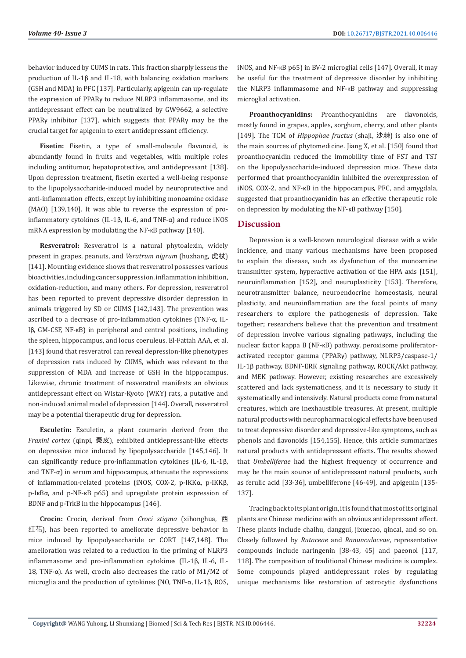behavior induced by CUMS in rats. This fraction sharply lessens the production of IL-1β and IL-18, with balancing oxidation markers (GSH and MDA) in PFC [137]. Particularly, apigenin can up-regulate the expression of PPARγ to reduce NLRP3 inflammasome, and its antidepressant effect can be neutralized by GW9662, a selective PPARγ inhibitor [137], which suggests that PPARγ may be the crucial target for apigenin to exert antidepressant efficiency.

**Fisetin:** Fisetin, a type of small-molecule flavonoid, is abundantly found in fruits and vegetables, with multiple roles including antitumor, hepatoprotective, and antidepressant [138]. Upon depression treatment, fisetin exerted a well-being response to the lipopolysaccharide-induced model by neuroprotective and anti-inflammation effects, except by inhibiting monoamine oxidase (MAO) [139,140]. It was able to reverse the expression of proinflammatory cytokines (IL-1β, IL-6, and TNF-α) and reduce iNOS mRNA expression by modulating the NF-κB pathway [140].

**Resveratrol:** Resveratrol is a natural phytoalexin, widely present in grapes, peanuts, and *Veratrum nigrum* (huzhang, 虎杖) [141]. Mounting evidence shows that resveratrol possesses various bioactivities, including cancer suppression, inflammation inhibition, oxidation-reduction, and many others. For depression, resveratrol has been reported to prevent depressive disorder depression in animals triggered by SD or CUMS [142,143]. The prevention was ascribed to a decrease of pro-inflammation cytokines (TNF-α, IL-Iβ, GM-CSF, NF-κB) in peripheral and central positions, including the spleen, hippocampus, and locus coeruleus. El-Fattah AAA, et al. [143] found that resveratrol can reveal depression-like phenotypes of depression rats induced by CUMS, which was relevant to the suppression of MDA and increase of GSH in the hippocampus. Likewise, chronic treatment of resveratrol manifests an obvious antidepressant effect on Wistar-Kyoto (WKY) rats, a putative and non-induced animal model of depression [144]. Overall, resveratrol may be a potential therapeutic drug for depression.

**Esculetin:** Esculetin, a plant coumarin derived from the *Fraxini cortex* (qinpi, 秦皮), exhibited antidepressant-like effects on depressive mice induced by lipopolysaccharide [145,146]. It can significantly reduce pro-inflammation cytokines (IL-6, IL-1β, and TNF-α) in serum and hippocampus, attenuate the expressions of inflammation-related proteins (iNOS, COX-2, p-IKKα, p-IKKβ, p-IκBα, and p-NF-κB p65) and upregulate protein expression of BDNF and p-TrkB in the hippocampus [146].

**Crocin:** Crocin, derived from *Croci stigma* (xihonghua, 西 红花), has been reported to ameliorate depressive behavior in mice induced by lipopolysaccharide or CORT [147,148]. The amelioration was related to a reduction in the priming of NLRP3 inflammasome and pro-inflammation cytokines (IL-1β, IL-6, IL-18, TNF-α). As well, crocin also decreases the ratio of M1/M2 of microglia and the production of cytokines (NO, TNF-α, IL-1β, ROS, iNOS, and NF-κB p65) in BV-2 microglial cells [147]. Overall, it may be useful for the treatment of depressive disorder by inhibiting the NLRP3 inflammasome and NF-κB pathway and suppressing microglial activation.

**Proanthocyanidins:** Proanthocyanidins are flavonoids, mostly found in grapes, apples, sorghum, cherry, and other plants [149]. The TCM of *Hippophae fructus* (shaji, 沙棘) is also one of the main sources of phytomedicine. Jiang X, et al. [150] found that proanthocyanidin reduced the immobility time of FST and TST on the lipopolysaccharide-induced depression mice. These data performed that proanthocyanidin inhibited the overexpression of iNOS, COX-2, and NF-κB in the hippocampus, PFC, and amygdala, suggested that proanthocyanidin has an effective therapeutic role on depression by modulating the NF-κB pathway [150].

# **Discussion**

Depression is a well-known neurological disease with a wide incidence, and many various mechanisms have been proposed to explain the disease, such as dysfunction of the monoamine transmitter system, hyperactive activation of the HPA axis [151], neuroinflammation [152], and neuroplasticity [153]. Therefore, neurotransmitter balance, neuroendocrine homeostasis, neural plasticity, and neuroinflammation are the focal points of many researchers to explore the pathogenesis of depression. Take together; researchers believe that the prevention and treatment of depression involve various signaling pathways, including the nuclear factor kappa B (NF-κB) pathway, peroxisome proliferatoractivated receptor gamma (PPARγ) pathway, NLRP3/caspase-1/ IL-1β pathway, BDNF-ERK signaling pathway, ROCK/Akt pathway, and MEK pathway. However, existing researches are excessively scattered and lack systematicness, and it is necessary to study it systematically and intensively. Natural products come from natural creatures, which are inexhaustible treasures. At present, multiple natural products with neuropharmacological effects have been used to treat depressive disorder and depressive-like symptoms, such as phenols and flavonoids [154,155]. Hence, this article summarizes natural products with antidepressant effects. The results showed that *Umbelliferae* had the highest frequency of occurrence and may be the main source of antidepressant natural products, such as ferulic acid [33-36], umbelliferone [46-49], and apigenin [135- 137].

Tracing back to its plant origin, it is found that most of its original plants are Chinese medicine with an obvious antidepressant effect. These plants include chaihu, danggui, jixuecao, qincai, and so on. Closely followed by *Rutaceae* and *Ranunculaceae*, representative compounds include naringenin [38-43, 45] and paeonol [117, 118]. The composition of traditional Chinese medicine is complex. Some compounds played antidepressant roles by regulating unique mechanisms like restoration of astrocytic dysfunctions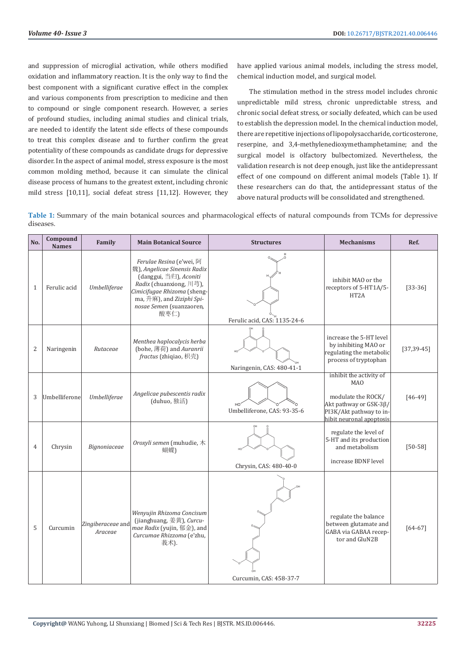and suppression of microglial activation, while others modified oxidation and inflammatory reaction. It is the only way to find the best component with a significant curative effect in the complex and various components from prescription to medicine and then to compound or single component research. However, a series of profound studies, including animal studies and clinical trials, are needed to identify the latent side effects of these compounds to treat this complex disease and to further confirm the great potentiality of these compounds as candidate drugs for depressive disorder. In the aspect of animal model, stress exposure is the most common molding method, because it can simulate the clinical disease process of humans to the greatest extent, including chronic mild stress [10,11], social defeat stress [11,12]. However, they

have applied various animal models, including the stress model, chemical induction model, and surgical model.

The stimulation method in the stress model includes chronic unpredictable mild stress, chronic unpredictable stress, and chronic social defeat stress, or socially defeated, which can be used to establish the depression model. In the chemical induction model, there are repetitive injections of lipopolysaccharide, corticosterone, reserpine, and 3,4-methylenedioxymethamphetamine; and the surgical model is olfactory bulbectomized. Nevertheless, the validation research is not deep enough, just like the antidepressant effect of one compound on different animal models (Table 1). If these researchers can do that, the antidepressant status of the above natural products will be consolidated and strengthened.

**Table 1:** Summary of the main botanical sources and pharmacological effects of natural compounds from TCMs for depressive diseases.

| No.          | Compound<br><b>Names</b> | Family                       | <b>Main Botanical Source</b>                                                                                                                                                                                  | <b>Structures</b>            | <b>Mechanisms</b>                                                                                                                            | Ref.            |
|--------------|--------------------------|------------------------------|---------------------------------------------------------------------------------------------------------------------------------------------------------------------------------------------------------------|------------------------------|----------------------------------------------------------------------------------------------------------------------------------------------|-----------------|
| $\mathbf{1}$ | Ferulic acid             | Umbelliferae                 | Ferulae Resina (e'wei, 阿<br>魏), Angelicae Sinensis Radix<br>(danggui, 当归), Aconiti<br>Radix (chuanxiong, 川芎),<br>Cimicifugae Rhizoma (sheng-<br>ma, 升麻), and Ziziphi Spi-<br>nosae Semen (suanzaoren,<br>酸枣仁) | Ferulic acid, CAS: 1135-24-6 | inhibit MAO or the<br>receptors of 5-HT1A/5-<br>HT <sub>2</sub> A                                                                            | $[33-36]$       |
| 2            | Naringenin               | Rutaceae                     | Menthea haplocalycis herba<br>(bohe, 薄荷) and Auranrii<br>fractus (zhiqiao, 枳壳)                                                                                                                                | Naringenin, CAS: 480-41-1    | increase the 5-HT level<br>by inhibiting MAO or<br>regulating the metabolic<br>process of tryptophan                                         | $[37, 39 - 45]$ |
| 3            | Umbelliferone            | Umbelliferae                 | Angelicae pubescentis radix<br>(duhuo, 独活)                                                                                                                                                                    | Umbelliferone, CAS: 93-35-6  | inhibit the activity of<br><b>MAO</b><br>modulate the ROCK/<br>Akt pathway or GSK-3β/<br>PI3K/Akt pathway to in-<br>hibit neuronal apoptosis | $[46-49]$       |
| 4            | Chrysin                  | Bignoniaceae                 | Oroxyli semen (muhudie, 木<br>蝴蝶)                                                                                                                                                                              | Chrysin, CAS: 480-40-0       | regulate the level of<br>5-HT and its production<br>and metabolism<br>increase BDNF level                                                    | $[50 - 58]$     |
| 5            | Curcumin                 | Zingiberaceae and<br>Araceae | Wenyujin Rhizoma Concisum<br>(jianghuang, 姜黄), Curcu-<br>mae Radix (yujin, 郁金), and<br>Curcumae Rhizzoma (e'zhu,<br>莪术).                                                                                      | Curcumin, CAS: 458-37-7      | regulate the balance<br>between glutamate and<br>GABA via GABAA recep-<br>tor and GluN2B                                                     | $[64 - 67]$     |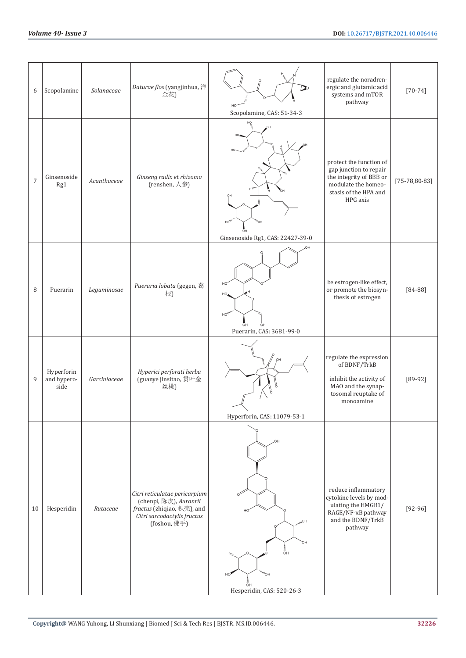| 6          | Scopolamine                       | Solanaceae   | Daturae flos (yangjinhua, 洋<br>金花)                                                                                                   | Scopolamine, CAS: 51-34-3                                                                                                 | regulate the noradren-<br>ergic and glutamic acid<br>systems and mTOR<br>pathway                                                         | $[70 - 74]$          |
|------------|-----------------------------------|--------------|--------------------------------------------------------------------------------------------------------------------------------------|---------------------------------------------------------------------------------------------------------------------------|------------------------------------------------------------------------------------------------------------------------------------------|----------------------|
| $\sqrt{ }$ | Ginsenoside<br>Rg1                | Acanthaceae  | Ginseng radix et rhizoma<br>(renshen, 人参)                                                                                            | HO <sub>1</sub><br>ōн<br>Ginsenoside Rg1, CAS: 22427-39-0                                                                 | protect the function of<br>gap junction to repair<br>the integrity of BBB or<br>modulate the homeo-<br>stasis of the HPA and<br>HPG axis | $[75 - 78, 80 - 83]$ |
| 8          | Puerarin                          | Leguminosae  | Pueraria lobata (gegen, 葛<br>根)                                                                                                      | HO<br>HO<br>$HO_{H_2}$<br>ÓН<br>Puerarin, CAS: 3681-99-0                                                                  | be estrogen-like effect,<br>or promote the biosyn-<br>thesis of estrogen                                                                 | $[84 - 88]$          |
| 9          | Hyperforin<br>and hypero-<br>side | Garciniaceae | Hyperici perforati herba<br>(guanye jinsitao, 贯叶金<br>丝桃)                                                                             | Hyperforin, CAS: 11079-53-1                                                                                               | regulate the expression<br>of BDNF/TrkB<br>inhibit the activity of<br>MAO and the synap-<br>tosomal reuptake of<br>monoamine             | $[89-92]$            |
| 10         | Hesperidin                        | Rutaceae     | Citri reticulatae pericarpium<br>(chenpi, 陈皮), Auranrii<br>fractus (zhiqiao, 枳壳), and<br>Citri sarcodactylis fructus<br>(foshou, 佛手) | OH<br>HC<br>$HO_{l_l}$<br>OH<br>į<br>Он<br>$W''$ OH<br>HO<br>$\frac{1}{\sigma}$ <sub>H</sub><br>Hesperidin, CAS: 520-26-3 | reduce inflammatory<br>cytokine levels by mod-<br>ulating the HMGB1/<br>RAGE/NF-KB pathway<br>and the BDNF/TrkB<br>pathway               | $[92-96]$            |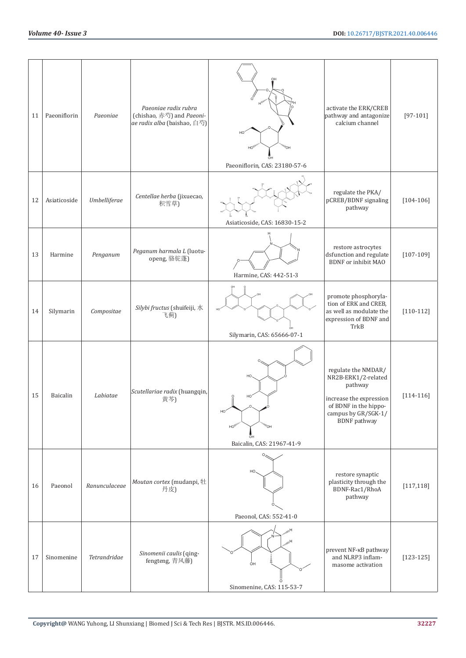| 11 | Paeoniflorin | Paeoniae      | Paeoniae radix rubra<br>(chishao, 赤芍) and Paeoni-<br>ae radix alba (baishao, 白芍) | ″он<br>HO,<br>Paeoniflorin, CAS: 23180-57-6                                         | activate the ERK/CREB<br>pathway and antagonize<br>calcium channel                                                                                      | $[97-101]$    |
|----|--------------|---------------|----------------------------------------------------------------------------------|-------------------------------------------------------------------------------------|---------------------------------------------------------------------------------------------------------------------------------------------------------|---------------|
| 12 | Asiaticoside | Umbelliferae  | Centellae herba (jixuecao,<br>积雪草)                                               | Asiaticoside, CAS: 16830-15-2                                                       | regulate the PKA/<br>pCREB/BDNF signaling<br>pathway                                                                                                    | $[104 - 106]$ |
| 13 | Harmine      | Penganum      | Peganum harmala L (luotu-<br>openg, 骆驼蓬)                                         | Harmine, CAS: 442-51-3                                                              | restore astrocytes<br>dsfunction and regulate<br><b>BDNF</b> or inhibit MAO                                                                             | $[107 - 109]$ |
| 14 | Silymarin    | Compositae    | Silybi fructus (shuifeiji, 水<br>飞蓟)                                              | Silymarin, CAS: 65666-07-1                                                          | promote phosphoryla-<br>tion of ERK and CREB,<br>as well as modulate the<br>expression of BDNF and<br>TrkB                                              | $[110-112]$   |
| 15 | Baicalin     | Labiatae      | Scutellariae radix (huangqin,<br>黄芩)                                             | HO.<br>HO <sub>1</sub><br>HO <sub>1</sub><br>″он<br>ōн<br>Baicalin, CAS: 21967-41-9 | regulate the NMDAR/<br>NR2B-ERK1/2-related<br>pathway<br>increase the expression<br>of BDNF in the hippo-<br>campus by GR/SGK-1/<br><b>BDNF</b> pathway | $[114 - 116]$ |
| 16 | Paeonol      | Ranunculaceae | Moutan cortex (mudanpi, 牡<br>丹皮)                                                 | HO<br>Paeonol, CAS: 552-41-0                                                        | restore synaptic<br>plasticity through the<br>BDNF-Rac1/RhoA<br>pathway                                                                                 | [117, 118]    |
| 17 | Sinomenine   | Tetrandridae  | Sinomenii caulis (qing-<br>fengteng, 青风藤)                                        | $H_{\ell\nu}$<br>ÓН<br>Sinomenine, CAS: 115-53-7                                    | prevent NF-KB pathway<br>and NLRP3 inflam-<br>masome activation                                                                                         | $[123 - 125]$ |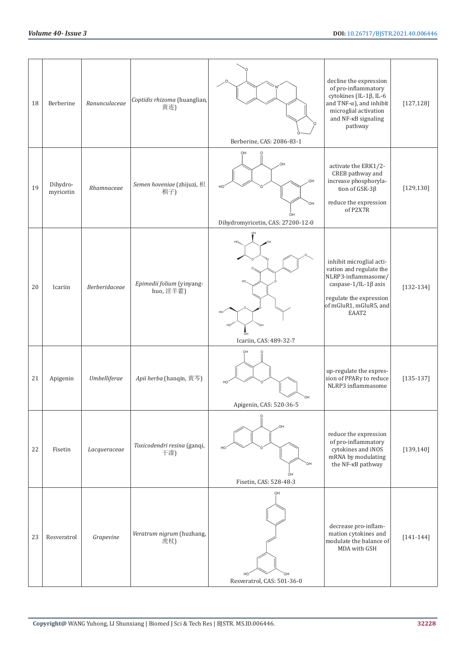| 18 | Berberine             | Ranunculaceae | Coptidis rhizoma (huanglian,<br>黄连)    | Berberine, CAS: 2086-83-1                                       | decline the expression<br>of pro-inflammatory<br>cytokines (IL-1β, IL-6<br>and TNF- $\alpha$ ), and inhibit<br>microglial activation<br>and NF-KB signaling<br>pathway | [127, 128]    |
|----|-----------------------|---------------|----------------------------------------|-----------------------------------------------------------------|------------------------------------------------------------------------------------------------------------------------------------------------------------------------|---------------|
| 19 | Dihydro-<br>myricetin | Rhamnaceae    | Semen hoveniae (zhijuzi, 枳<br>椇子)      | OH<br>OН<br>OH<br>OH<br>ÒН<br>Dihydromyricetin, CAS: 27200-12-0 | activate the ERK1/2-<br>CREB pathway and<br>increase phosphoryla-<br>tion of GSK-3β<br>reduce the expression<br>of P2X7R                                               | [129, 130]    |
| 20 | Icariin               | Berberidaceae | Epimedii folium (yinyang-<br>huo, 淫羊藿) | Icariin, CAS: 489-32-7                                          | inhibit microglial acti-<br>vation and regulate the<br>NLRP3-inflammasome/<br>caspase-1/IL-1β axis<br>regulate the expression<br>of mGluR1, mGluR5, and<br>EAAT2       | $[132 - 134]$ |
| 21 | Apigenin              | Umbelliferae  | Apii herba (hanqin, 黄芩)                | OH<br>O⊦<br>Apigenin, CAS: 520-36-5                             | up-regulate the expres-<br>sion of PPARy to reduce<br>NLRP3 inflammasome                                                                                               | $[135-137]$   |
| 22 | Fisetin               | Lacqueraceae  | Toxicodendri resina (ganqi,<br>干漆)     | OН<br>Fisetin, CAS: 528-48-3                                    | reduce the expression<br>of pro-inflammatory<br>cytokines and iNOS<br>mRNA by modulating<br>the NF-KB pathway                                                          | [139, 140]    |
| 23 | Resveratrol           | Grapevine     | Veratrum nigrum (huzhang,<br>虎杖)       | OH<br>Resveratrol, CAS: 501-36-0                                | decrease pro-inflam-<br>mation cytokines and<br>modulate the balance of<br>MDA with GSH                                                                                | $[141 - 144]$ |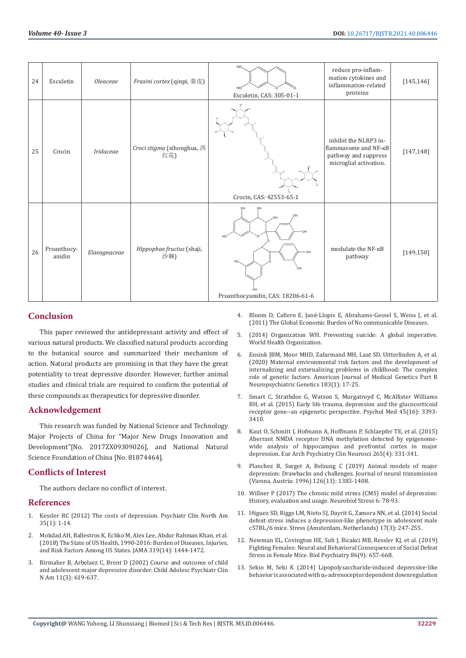| 24 | Esculetin             | <i>Oleaceae</i> | Fraxini cortex (qinpi, 秦皮)        | HO.<br>HO <sup>'</sup><br>Esculetin, CAS: 305-01-1                   | reduce pro-inflam-<br>mation cytokines and<br>inflammation-related<br>proteins                  | [145, 146] |
|----|-----------------------|-----------------|-----------------------------------|----------------------------------------------------------------------|-------------------------------------------------------------------------------------------------|------------|
| 25 | Crocin                | Iridaceae       | Croci stigma (xihonghua, 西<br>红花) | Crocin, CAS: 42553-65-1                                              | inhibit the NLRP3 in-<br>flammasome and NF-KB<br>pathway and suppress<br>microglial activation. | [147, 148] |
| 26 | Proanthocy-<br>anidin | Elaeagnaceae    | Hippophae fructus (shaji,<br>沙棘)  | OH<br>OH<br>HC<br>HO.<br>$\cap$<br>Proanthocyanidin, CAS: 18206-61-6 | modulate the NF-KB<br>pathway                                                                   | [149, 150] |

# **Conclusion**

This paper reviewed the antidepressant activity and effect of various natural products. We classified natural products according to the botanical source and summarized their mechanism of action. Natural products are promising in that they have the great potentiality to treat depressive disorder. However, further animal studies and clinical trials are required to confirm the potential of these compounds as therapeutics for depressive disorder.

# **Acknowledgement**

This research was funded by National Science and Technology Major Projects of China for "Major New Drugs Innovation and Development"[No. 2017ZX09309026], and National Natural Science Foundation of China [No. 81874464].

# **Conflicts of Interest**

The authors declare no conflict of interest.

## **References**

- 1. [Kessler RC \(2012\) The costs of depression. Psychiatr Clin North Am](https://pubmed.ncbi.nlm.nih.gov/22370487/)  [35\(1\): 1-14.](https://pubmed.ncbi.nlm.nih.gov/22370487/)
- 2. [Mokdad AH, Ballestros K, Echko M, Alex Lee, Abdur Rahman Khan, et al.](https://pubmed.ncbi.nlm.nih.gov/29634829/)  [\(2018\) The State of US Health, 1990-2016: Burden of Diseases, Injuries,](https://pubmed.ncbi.nlm.nih.gov/29634829/)  [and Risk Factors Among US States. JAMA 319\(14\): 1444-1472.](https://pubmed.ncbi.nlm.nih.gov/29634829/)
- 3. [Birmaher B, Arbelaez C, Brent D \(2002\) Course and outcome of child](https://pubmed.ncbi.nlm.nih.gov/12222086/)  [and adolescent major depressive disorder. Child Adolesc Psychiatr Clin](https://pubmed.ncbi.nlm.nih.gov/12222086/)  [N Am 11\(3\): 619-637.](https://pubmed.ncbi.nlm.nih.gov/12222086/)
- 4. Bloom D, Cafiero E, Jané[-Llopis E, Abrahams-Gessel S, Weiss J, et al.](https://www3.weforum.org/docs/WEF_Harvard_HE_GlobalEconomicBurdenNonCommunicableDiseases_2011.pdf) [\(2011\) The Global Economic Burden of No communicable Diseases.](https://www3.weforum.org/docs/WEF_Harvard_HE_GlobalEconomicBurdenNonCommunicableDiseases_2011.pdf)
- 5. [\(2014\) Organization WH. Preventing suicide: A global imperative.](https://www.who.int/publications/i/item/9789241564779) [World Health Organization.](https://www.who.int/publications/i/item/9789241564779)
- 6. [Ensink JBM, Moor MHD, Zafarmand MH, Laat SD, Uitterlinden A, et al.](https://pubmed.ncbi.nlm.nih.gov/31444904/) [\(2020\) Maternal environmental risk factors and the development of](https://pubmed.ncbi.nlm.nih.gov/31444904/) [internalizing and externalizing problems in childhood: The complex](https://pubmed.ncbi.nlm.nih.gov/31444904/) [role of genetic factors. American Journal of Medical Genetics Part B](https://pubmed.ncbi.nlm.nih.gov/31444904/) [Neuropsychiatric Genetics 183\(1\): 17-25.](https://pubmed.ncbi.nlm.nih.gov/31444904/)
- 7. [Smart C, Strathdee G, Watson S, Murgatroyd C, McAllister Williams](https://pubmed.ncbi.nlm.nih.gov/26387521/) [RH, et al. \(2015\) Early life trauma, depression and the glucocorticoid](https://pubmed.ncbi.nlm.nih.gov/26387521/) [receptor gene--an epigenetic perspective. Psychol Med 45\(16\): 3393-](https://pubmed.ncbi.nlm.nih.gov/26387521/) [3410.](https://pubmed.ncbi.nlm.nih.gov/26387521/)
- 8. [Kaut O, Schmitt I, Hofmann A, Hoffmann P, Schlaepfer TE, et al. \(2015\)](https://pubmed.ncbi.nlm.nih.gov/25571874/) [Aberrant NMDA receptor DNA methylation detected by epigenome](https://pubmed.ncbi.nlm.nih.gov/25571874/)[wide analysis of hippocampus and prefrontal cortex in major](https://pubmed.ncbi.nlm.nih.gov/25571874/) [depression. Eur Arch Psychiatry Clin Neurosci 265\(4\): 331-341.](https://pubmed.ncbi.nlm.nih.gov/25571874/)
- 9. [Planchez B, Surget A, Belzung C \(2019\) Animal models of major](https://pubmed.ncbi.nlm.nih.gov/31584111/) [depression: Drawbacks and challenges. Journal of neural transmission](https://pubmed.ncbi.nlm.nih.gov/31584111/) [\(Vienna, Austria: 1996\) 126\(11\): 1383-1408.](https://pubmed.ncbi.nlm.nih.gov/31584111/)
- 10. [Willner P \(2017\) The chronic mild stress \(CMS\) model of depression:](https://pubmed.ncbi.nlm.nih.gov/28229111/) [History, evaluation and usage. Neurobiol Stress 6: 78-93.](https://pubmed.ncbi.nlm.nih.gov/28229111/)
- 11. Iñ[iguez SD, Riggs LM, Nieto SJ, Dayrit G, Zamora NN, et al. \(2014\) Social](https://pubmed.ncbi.nlm.nih.gov/24689732/) [defeat stress induces a depression-like phenotype in adolescent male](https://pubmed.ncbi.nlm.nih.gov/24689732/) [c57BL/6 mice. Stress \(Amsterdam, Netherlands\) 17\(3\): 247-255.](https://pubmed.ncbi.nlm.nih.gov/24689732/)
- 12. [Newman EL, Covington HE, Suh J, Bicakci MB, Ressler KJ, et al. \(2019\)](https://pubmed.ncbi.nlm.nih.gov/31255250/) [Fighting Females: Neural and Behavioral Consequences of Social Defeat](https://pubmed.ncbi.nlm.nih.gov/31255250/) [Stress in Female Mice. Biol Psychiatry 86\(9\): 657-668.](https://pubmed.ncbi.nlm.nih.gov/31255250/)
- 13. [Sekio M, Seki K \(2014\) Lipopolysaccharide-induced depressive-like](https://pubmed.ncbi.nlm.nih.gov/25539502/) behavior is associated with  $\alpha_1$ [-adrenoceptor dependent downregulation](https://pubmed.ncbi.nlm.nih.gov/25539502/)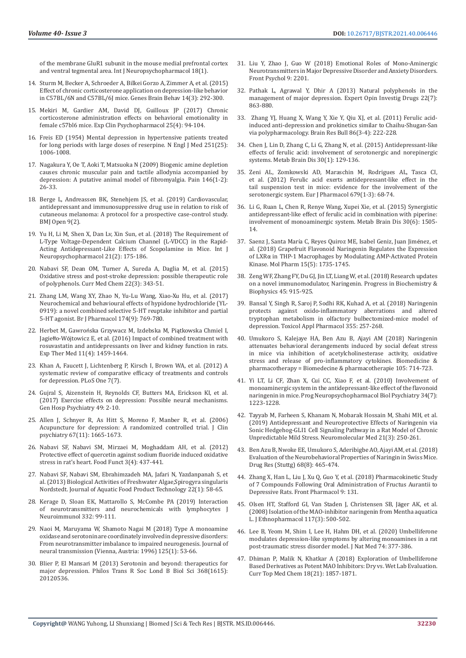[of the membrane GluR1 subunit in the mouse medial prefrontal cortex](https://pubmed.ncbi.nlm.nih.gov/25539502/)  [and ventral tegmental area. Int J Neuropsychopharmacol 18\(1\).](https://pubmed.ncbi.nlm.nih.gov/25539502/)

- 14. [Sturm M, Becker A, Schroeder A, Bilkei Gorzo A, Zimmer A, et al. \(2015\)](https://pubmed.ncbi.nlm.nih.gov/25752475/)  [Effect of chronic corticosterone application on depression-like behavior](https://pubmed.ncbi.nlm.nih.gov/25752475/)  [in C57BL/6N and C57BL/6J mice. Genes Brain Behav 14\(3\): 292-300.](https://pubmed.ncbi.nlm.nih.gov/25752475/)
- 15. [Mekiri M, Gardier AM, David DJ, Guilloux JP \(2017\) Chronic](https://pubmed.ncbi.nlm.nih.gov/28287792/)  [corticosterone administration effects on behavioral emotionality in](https://pubmed.ncbi.nlm.nih.gov/28287792/)  [female c57bl6 mice. Exp Clin Psychopharmacol 25\(4\): 94-104.](https://pubmed.ncbi.nlm.nih.gov/28287792/)
- 16. [Freis ED \(1954\) Mental depression in hypertensive patients treated](https://pubmed.ncbi.nlm.nih.gov/13214379/)  [for long periods with large doses of reserpine. N Engl J Med 251\(25\):](https://pubmed.ncbi.nlm.nih.gov/13214379/)  [1006-1008.](https://pubmed.ncbi.nlm.nih.gov/13214379/)
- 17. [Nagakura Y, Oe T, Aoki T, Matsuoka N \(2009\) Biogenic amine depletion](https://pubmed.ncbi.nlm.nih.gov/19646816/)  [causes chronic muscular pain and tactile allodynia accompanied by](https://pubmed.ncbi.nlm.nih.gov/19646816/)  [depression: A putative animal model of fibromyalgia. Pain 146\(1-2\):](https://pubmed.ncbi.nlm.nih.gov/19646816/)  [26-33.](https://pubmed.ncbi.nlm.nih.gov/19646816/)
- 18. [Berge L, Andreassen BK, Stenehjem JS, et al. \(2019\) Cardiovascular,](https://pubmed.ncbi.nlm.nih.gov/30787091/)  [antidepressant and immunosuppressive drug use in relation to risk of](https://pubmed.ncbi.nlm.nih.gov/30787091/)  [cutaneous melanoma: A protocol for a prospective case-control study.](https://pubmed.ncbi.nlm.nih.gov/30787091/)  [BMJ Open 9\(2\).](https://pubmed.ncbi.nlm.nih.gov/30787091/)
- 19. [Yu H, Li M, Shen X, Dan Lv, Xin Sun, et al. \(2018\) The Requirement of](https://pubmed.ncbi.nlm.nih.gov/29020410/)  [L-Type Voltage-Dependent Calcium Channel \(L-VDCC\) in the Rapid-](https://pubmed.ncbi.nlm.nih.gov/29020410/)[Acting Antidepressant-Like Effects of Scopolamine in Mice. Int J](https://pubmed.ncbi.nlm.nih.gov/29020410/)  [Neuropsychopharmacol 21\(2\): 175-186.](https://pubmed.ncbi.nlm.nih.gov/29020410/)
- 20. [Nabavi SF, Dean OM, Turner A, Sureda A, Daglia M, et al. \(2015\)](https://pubmed.ncbi.nlm.nih.gov/25386821/)  [Oxidative stress and post-stroke depression: possible therapeutic role](https://pubmed.ncbi.nlm.nih.gov/25386821/)  [of polyphenols. Curr Med Chem 22\(3\): 343-51.](https://pubmed.ncbi.nlm.nih.gov/25386821/)
- 21. [Zhang LM, Wang XY, Zhao N, Yu-Lu Wang, Xiao-Xu Hu, et al. \(2017\)](https://pubmed.ncbi.nlm.nih.gov/27882537/)  [Neurochemical and behavioural effects of hypidone hydrochloride \(YL-](https://pubmed.ncbi.nlm.nih.gov/27882537/)[0919\): a novel combined selective 5-HT reuptake inhibitor and partial](https://pubmed.ncbi.nlm.nih.gov/27882537/)  [5-HT agonist. Br J Pharmacol 174\(9\): 769-780.](https://pubmed.ncbi.nlm.nih.gov/27882537/)
- 22. Herbet M, Gawroń[ska Grzywacz M, Izdebska M, Pi](https://pubmed.ncbi.nlm.nih.gov/27073465/)ątkowska Chmiel I, Jagiełło-Wó[jtowicz E, et al. \(2016\) Impact of combined treatment with](https://pubmed.ncbi.nlm.nih.gov/27073465/)  [rosuvastatin and antidepressants on liver and kidney function in rats.](https://pubmed.ncbi.nlm.nih.gov/27073465/)  [Exp Ther Med 11\(4\): 1459-1464.](https://pubmed.ncbi.nlm.nih.gov/27073465/)
- 23. [Khan A, Faucett J, Lichtenberg P, Kirsch I, Brown WA, et al. \(2012\) A](https://pubmed.ncbi.nlm.nih.gov/22860015/)  [systematic review of comparative efficacy of treatments and controls](https://pubmed.ncbi.nlm.nih.gov/22860015/)  [for depression. PLoS One 7\(7\).](https://pubmed.ncbi.nlm.nih.gov/22860015/)
- 24. [Gujral S, Aizenstein H, Reynolds CF, Butters MA, Erickson KI, et al.](https://pubmed.ncbi.nlm.nih.gov/29122145/)  [\(2017\) Exercise effects on depression: Possible neural mechanisms.](https://pubmed.ncbi.nlm.nih.gov/29122145/)  [Gen Hosp Psychiatry 49: 2-10.](https://pubmed.ncbi.nlm.nih.gov/29122145/)
- 25. [Allen J, Schnyer R, As Hitt S, Moreno F, Manber R, et al. \(2006\)](https://pubmed.ncbi.nlm.nih.gov/17196044/)  [Acupuncture for depression: A randomized controlled trial. J Clin](https://pubmed.ncbi.nlm.nih.gov/17196044/)  [psychiatry 67\(11\): 1665-1673.](https://pubmed.ncbi.nlm.nih.gov/17196044/)
- 26. [Nabavi SF, Nabavi SM, Mirzaei M, Moghaddam AH, et al. \(2012\)](https://pubmed.ncbi.nlm.nih.gov/22314573/)  [Protective effect of quercetin against sodium fluoride induced oxidative](https://pubmed.ncbi.nlm.nih.gov/22314573/)  [stress in rat's heart. Food Funct 3\(4\): 437-441.](https://pubmed.ncbi.nlm.nih.gov/22314573/)
- 27. [Nabavi SF, Nabavi SM, Ebrahimzadeh MA, Jafari N, Yazdanpanah S, et](https://www.researchgate.net/publication/280745250_Biological_Activities_of_Freshwater_Algae_Spirogyra_singularis_Nordstedt)  [al. \(2013\) Biological Activities of Freshwater Algae,Spirogyra singularis](https://www.researchgate.net/publication/280745250_Biological_Activities_of_Freshwater_Algae_Spirogyra_singularis_Nordstedt)  [Nordstedt. Journal of Aquatic Food Product Technology 22\(1\): 58-65.](https://www.researchgate.net/publication/280745250_Biological_Activities_of_Freshwater_Algae_Spirogyra_singularis_Nordstedt)
- 28. [Kerage D, Sloan EK, Mattarollo S, McCombe PA \(2019\) Interaction](https://pubmed.ncbi.nlm.nih.gov/30999218/)  [of neurotransmitters and neurochemicals with lymphocytes J](https://pubmed.ncbi.nlm.nih.gov/30999218/)  [Neuroimmunol 332: 99-111.](https://pubmed.ncbi.nlm.nih.gov/30999218/)
- 29. [Naoi M, Maruyama W, Shamoto Nagai M \(2018\) Type A monoamine](https://pubmed.ncbi.nlm.nih.gov/28293733/)  [oxidase and serotonin are coordinately involved in depressive disorders:](https://pubmed.ncbi.nlm.nih.gov/28293733/)  [From neurotransmitter imbalance to impaired neurogenesis. Journal of](https://pubmed.ncbi.nlm.nih.gov/28293733/)  [neural transmission \(Vienna, Austria: 1996\) 125\(1\): 53-66.](https://pubmed.ncbi.nlm.nih.gov/28293733/)
- 30. [Blier P, El Mansari M \(2013\) Serotonin and beyond: therapeutics for](https://pubmed.ncbi.nlm.nih.gov/23440470/)  [major depression. Philos Trans R Soc Lond B Biol Sci 368\(1615\):](https://pubmed.ncbi.nlm.nih.gov/23440470/)  [20120536.](https://pubmed.ncbi.nlm.nih.gov/23440470/)
- 31. [Liu Y, Zhao J, Guo W \(2018\) Emotional Roles of Mono-Aminergic](https://pubmed.ncbi.nlm.nih.gov/30524332/) [Neurotransmitters in Major Depressive Disorder and Anxiety Disorders.](https://pubmed.ncbi.nlm.nih.gov/30524332/) [Front Psychol 9: 2201.](https://pubmed.ncbi.nlm.nih.gov/30524332/)
- 32. [Pathak L, Agrawal Y, Dhir A \(2013\) Natural polyphenols in the](https://pubmed.ncbi.nlm.nih.gov/23642183/) [management of major depression. Expert Opin Investig Drugs 22\(7\):](https://pubmed.ncbi.nlm.nih.gov/23642183/) [863-880.](https://pubmed.ncbi.nlm.nih.gov/23642183/)
- 33. [Zhang YJ, Huang X, Wang Y, Xie Y, Qiu XJ, et al. \(2011\) Ferulic acid](https://pubmed.ncbi.nlm.nih.gov/21791239/)[induced anti-depression and prokinetics similar to Chaihu-Shugan-San](https://pubmed.ncbi.nlm.nih.gov/21791239/) [via polypharmacology. Brain Res Bull 86\(3-4\): 222-228.](https://pubmed.ncbi.nlm.nih.gov/21791239/)
- 34. [Chen J, Lin D, Zhang C, Li G, Zhang N, et al. \(2015\) Antidepressant-like](https://pubmed.ncbi.nlm.nih.gov/25483788/) [effects of ferulic acid: involvement of serotonergic and norepinergic](https://pubmed.ncbi.nlm.nih.gov/25483788/) [systems. Metab Brain Dis 30\(1\): 129-136.](https://pubmed.ncbi.nlm.nih.gov/25483788/)
- 35. [Zeni AL, Zomkowski AD, Maraschin M, Rodrigues AL, Tasca CI,](https://pubmed.ncbi.nlm.nih.gov/22266492/) [et al. \(2012\) Ferulic acid exerts antidepressant-like effect in the](https://pubmed.ncbi.nlm.nih.gov/22266492/) [tail suspension test in mice: evidence for the involvement of the](https://pubmed.ncbi.nlm.nih.gov/22266492/) [serotonergic system. Eur J Pharmacol 679\(1-3\): 68-74.](https://pubmed.ncbi.nlm.nih.gov/22266492/)
- 36. [Li G, Ruan L, Chen R, Renye Wang, Xupei Xie, et al. \(2015\) Synergistic](https://pubmed.ncbi.nlm.nih.gov/26220010/) [antidepressant-like effect of ferulic acid in combination with piperine:](https://pubmed.ncbi.nlm.nih.gov/26220010/) [involvement of monoaminergic system. Metab Brain Dis 30\(6\): 1505-](https://pubmed.ncbi.nlm.nih.gov/26220010/) [14.](https://pubmed.ncbi.nlm.nih.gov/26220010/)
- 37. Saenz J, Santa Marí[a C, Reyes Quiroz ME, Isabel Geniz, Juan Jim](https://pubmed.ncbi.nlm.nih.gov/29140707/)énez, et [al. \(2018\) Grapefruit Flavonoid Naringenin Regulates the Expression](https://pubmed.ncbi.nlm.nih.gov/29140707/) of LXRα [in THP-1 Macrophages by Modulating AMP-Activated Protein](https://pubmed.ncbi.nlm.nih.gov/29140707/) [Kinase. Mol Pharm 15\(5\): 1735-1745.](https://pubmed.ncbi.nlm.nih.gov/29140707/)
- 38. [Zeng WF, Zhang FY, Du GJ, Jin LT, Liang W, et al. \(2018\) Research updates](https://www.researchgate.net/publication/328600002_Research_updates_on_a_novel_immunomodulator_Naringenin) [on a novel immunomodulator, Naringenin. Progress in Biochemistry &](https://www.researchgate.net/publication/328600002_Research_updates_on_a_novel_immunomodulator_Naringenin) [Biophysics 45: 915-925.](https://www.researchgate.net/publication/328600002_Research_updates_on_a_novel_immunomodulator_Naringenin)
- 39. [Bansal Y, Singh R, Saroj P, Sodhi RK, Kuhad A, et al. \(2018\) Naringenin](https://pubmed.ncbi.nlm.nih.gov/30017640/) [protects against oxido-inflammatory aberrations and altered](https://pubmed.ncbi.nlm.nih.gov/30017640/) [tryptophan metabolism in olfactory bulbectomized-mice model of](https://pubmed.ncbi.nlm.nih.gov/30017640/) [depression. Toxicol Appl Pharmacol 355: 257-268.](https://pubmed.ncbi.nlm.nih.gov/30017640/)
- 40. [Umukoro S, Kalejaye HA, Ben Azu B, Ajayi AM \(2018\) Naringenin](https://pubmed.ncbi.nlm.nih.gov/29906750/) [attenuates behavioral derangements induced by social defeat stress](https://pubmed.ncbi.nlm.nih.gov/29906750/) [in mice via inhibition of acetylcholinesterase activity, oxidative](https://pubmed.ncbi.nlm.nih.gov/29906750/) [stress and release of pro-inflammatory cytokines. Biomedicine &](https://pubmed.ncbi.nlm.nih.gov/29906750/) [pharmacotherapy = Biomedecine & pharmacotherapie 105: 714-723.](https://pubmed.ncbi.nlm.nih.gov/29906750/)
- 41. [Yi LT, Li CF, Zhan X, Cui CC, Xiao F, et al. \(2010\) Involvement of](file:///\\211BIOMED\GroupData\Shruthi\Involvement%20of%20monoaminergic%20system%20in%20the%20antidepressant-like%20effect%20of%20the%20flavonoid%20naringenin%20in%20mice.) [monoaminergic system in the antidepressant-like effect of the flavonoid](file:///\\211BIOMED\GroupData\Shruthi\Involvement%20of%20monoaminergic%20system%20in%20the%20antidepressant-like%20effect%20of%20the%20flavonoid%20naringenin%20in%20mice.) [naringenin in mice. Prog Neuropsychopharmacol Biol Psychiatry 34\(7\):](file:///\\211BIOMED\GroupData\Shruthi\Involvement%20of%20monoaminergic%20system%20in%20the%20antidepressant-like%20effect%20of%20the%20flavonoid%20naringenin%20in%20mice.) [1223-1228.](file:///\\211BIOMED\GroupData\Shruthi\Involvement%20of%20monoaminergic%20system%20in%20the%20antidepressant-like%20effect%20of%20the%20flavonoid%20naringenin%20in%20mice.)
- 42. [Tayyab M, Farheen S, Khanam N, Mobarak Hossain M, Shahi MH, et al.](https://pubmed.ncbi.nlm.nih.gov/31037465/) [\(2019\) Antidepressant and Neuroprotective Effects of Naringenin via](https://pubmed.ncbi.nlm.nih.gov/31037465/) [Sonic Hedgehog-GLI1 Cell Signaling Pathway in a Rat Model of Chronic](https://pubmed.ncbi.nlm.nih.gov/31037465/) [Unpredictable Mild Stress. Neuromolecular Med 21\(3\): 250-261.](https://pubmed.ncbi.nlm.nih.gov/31037465/)
- 43. [Ben Azu B, Nwoke EE, Umukoro S, Aderibigbe AO, Ajayi AM, et al. \(2018\)](https://pubmed.ncbi.nlm.nih.gov/29529676/) [Evaluation of the Neurobehavioral Properties of Naringin in Swiss Mice.](https://pubmed.ncbi.nlm.nih.gov/29529676/) [Drug Res \(Stuttg\) 68\(8\): 465-474.](https://pubmed.ncbi.nlm.nih.gov/29529676/)
- 44. [Zhang X, Han L, Liu J, Xu Q, Guo Y, et al. \(2018\) Pharmacokinetic Study](https://pubmed.ncbi.nlm.nih.gov/29556193/) [of 7 Compounds Following Oral Administration of Fructus Aurantii to](https://pubmed.ncbi.nlm.nih.gov/29556193/) [Depressive Rats. Front Pharmacol 9: 131.](https://pubmed.ncbi.nlm.nih.gov/29556193/)
- 45. [Olsen HT, Stafford GI, Van Staden J, Christensen SB, J](https://pubmed.ncbi.nlm.nih.gov/18372132/)äger AK, et al. [\(2008\) Isolation of the MAO-inhibitor naringenin from Mentha aquatica](https://pubmed.ncbi.nlm.nih.gov/18372132/) [L. J Ethnopharmacol 117\(3\): 500-502.](https://pubmed.ncbi.nlm.nih.gov/18372132/)
- 46. [Lee B, Yeom M, Shim I, Lee H, Hahm DH, et al. \(2020\) Umbelliferone](https://pubmed.ncbi.nlm.nih.gov/31755013/) [modulates depression-like symptoms by altering monoamines in a rat](https://pubmed.ncbi.nlm.nih.gov/31755013/) [post-traumatic stress disorder model. J Nat Med 74: 377-386.](https://pubmed.ncbi.nlm.nih.gov/31755013/)
- 47. [Dhiman P, Malik N, Khatkar A \(2018\) Exploration of Umbelliferone](https://pubmed.ncbi.nlm.nih.gov/30430943/) [Based Derivatives as Potent MAO Inhibitors: Dry vs. Wet Lab Evaluation.](https://pubmed.ncbi.nlm.nih.gov/30430943/) [Curr Top Med Chem 18\(21\): 1857-1871.](https://pubmed.ncbi.nlm.nih.gov/30430943/)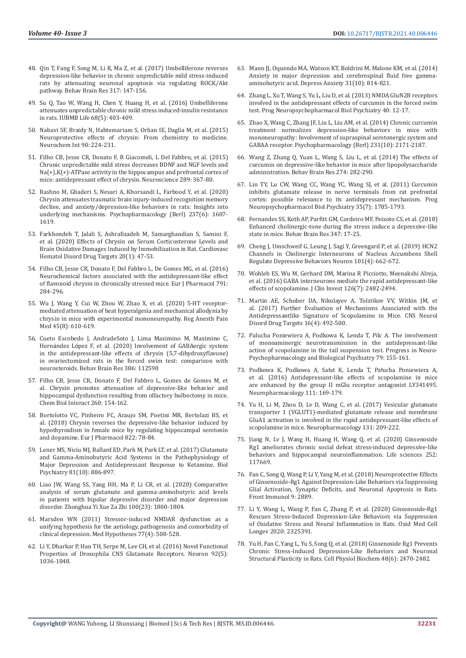- 48. [Qin T, Fang F, Song M, Li R, Ma Z, et al. \(2017\) Umbelliferone reverses](https://pubmed.ncbi.nlm.nih.gov/27646771/)  [depression-like behavior in chronic unpredictable mild stress-induced](https://pubmed.ncbi.nlm.nih.gov/27646771/)  [rats by attenuating neuronal apoptosis via regulating ROCK/Akt](https://pubmed.ncbi.nlm.nih.gov/27646771/)  [pathway. Behav Brain Res 317: 147-156.](https://pubmed.ncbi.nlm.nih.gov/27646771/)
- 49. [Su Q, Tao W, Wang H, Chen Y, Huang H, et al. \(2016\) Umbelliferone](https://pubmed.ncbi.nlm.nih.gov/27027512/)  [attenuates unpredictable chronic mild stress induced-insulin resistance](https://pubmed.ncbi.nlm.nih.gov/27027512/)  [in rats. IUBMB Life 68\(5\): 403-409.](https://pubmed.ncbi.nlm.nih.gov/27027512/)
- 50. [Nabavi SF, Braidy N, Habtemariam S, Orhan IE, Daglia M, et al. \(2015\)](https://pubmed.ncbi.nlm.nih.gov/26386393/)  [Neuroprotective effects of chrysin: From chemistry to medicine.](https://pubmed.ncbi.nlm.nih.gov/26386393/)  [Neurochem Int 90: 224-231.](https://pubmed.ncbi.nlm.nih.gov/26386393/)
- 51. [Filho CB, Jesse CR, Donato F, R Giacomeli, L Del Fabbro, et al. \(2015\)](https://pubmed.ncbi.nlm.nih.gov/25592430/)  [Chronic unpredictable mild stress decreases BDNF and NGF levels and](https://pubmed.ncbi.nlm.nih.gov/25592430/)  [Na\(+\),K\(+\)-ATPase activity in the hippocampus and prefrontal cortex of](https://pubmed.ncbi.nlm.nih.gov/25592430/)  [mice: antidepressant effect of chrysin. Neuroscience 289: 367-80.](https://pubmed.ncbi.nlm.nih.gov/25592430/)
- 52. [Rashno M, Ghaderi S, Nesari A, Khorsandi L, Farbood Y, et al. \(2020\)](https://pubmed.ncbi.nlm.nih.gov/32088834/)  [Chrysin attenuates traumatic brain injury-induced recognition memory](https://pubmed.ncbi.nlm.nih.gov/32088834/)  [decline, and anxiety/depression-like behaviors in rats: Insights into](https://pubmed.ncbi.nlm.nih.gov/32088834/)  [underlying mechanisms. Psychopharmacology \(Berl\) 237\(6\): 1607-](https://pubmed.ncbi.nlm.nih.gov/32088834/) [1619.](https://pubmed.ncbi.nlm.nih.gov/32088834/)
- 53. [Farkhondeh T, Jalali S, Ashrafizadeh M, Samarghandian S, Samini F,](https://pubmed.ncbi.nlm.nih.gov/31237217/)  [et al. \(2020\) Effects of Chrysin on Serum Corticosterone Levels and](https://pubmed.ncbi.nlm.nih.gov/31237217/)  [Brain Oxidative Damages Induced by Immobilization in Rat. Cardiovasc](https://pubmed.ncbi.nlm.nih.gov/31237217/)  [Hematol Disord Drug Targets 20\(1\): 47-53.](https://pubmed.ncbi.nlm.nih.gov/31237217/)
- 54. [Filho CB, Jesse CR, Donato F, Del Fabbro L, De Gomes MG, et al. \(2016\)](https://pubmed.ncbi.nlm.nih.gov/27609609/)  [Neurochemical factors associated with the antidepressant-like effect](https://pubmed.ncbi.nlm.nih.gov/27609609/)  [of flavonoid chrysin in chronically stressed mice. Eur J Pharmacol 791:](https://pubmed.ncbi.nlm.nih.gov/27609609/)  [284-296.](https://pubmed.ncbi.nlm.nih.gov/27609609/)
- 55. [Wu J, Wang Y, Cui W, Zhou W, Zhao X, et al. \(2020\) 5-HT receptor](https://pubmed.ncbi.nlm.nih.gov/32561651/)[mediated attenuation of heat hyperalgesia and mechanical allodynia by](https://pubmed.ncbi.nlm.nih.gov/32561651/)  [chrysin in mice with experimental mononeuropathy. Reg Anesth Pain](https://pubmed.ncbi.nlm.nih.gov/32561651/)  [Med 45\(8\): 610-619.](https://pubmed.ncbi.nlm.nih.gov/32561651/)
- 56. [Cueto Escobedo J, AndradeSoto J, Lima Maximino M, Maximino C,](https://pubmed.ncbi.nlm.nih.gov/32184157/)  Hernández Ló[pez F, et al. \(2020\) Involvement of GABAergic system](https://pubmed.ncbi.nlm.nih.gov/32184157/)  [in the antidepressant-like effects of chrysin \(5,7-dihydroxyflavone\)](https://pubmed.ncbi.nlm.nih.gov/32184157/)  [in ovariectomized rats in the forced swim test: comparison with](https://pubmed.ncbi.nlm.nih.gov/32184157/)  [neurosteroids. Behav Brain Res 386: 112590](https://pubmed.ncbi.nlm.nih.gov/32184157/)
- 57. [Filho CB, Jesse CR, Donato F, Del Fabbro L, Gomes de Gomes M, et](https://pubmed.ncbi.nlm.nih.gov/27818124/)  [al. Chrysin promotes attenuation of depressive-like behavior and](https://pubmed.ncbi.nlm.nih.gov/27818124/)  [hippocampal dysfunction resulting from olfactory bulbectomy in mice.](https://pubmed.ncbi.nlm.nih.gov/27818124/)  [Chem Biol Interact 260: 154-162.](https://pubmed.ncbi.nlm.nih.gov/27818124/)
- 58. [Bortolotto VC, Pinheiro FC, Araujo SM, Poetini MR, Bertolazi BS, et](https://pubmed.ncbi.nlm.nih.gov/29355556/)  [al. \(2018\) Chrysin reverses the depressive-like behavior induced by](https://pubmed.ncbi.nlm.nih.gov/29355556/)  [hypothyroidism in female mice by regulating hippocampal serotonin](https://pubmed.ncbi.nlm.nih.gov/29355556/)  [and dopamine. Eur J Pharmacol 822: 78-84.](https://pubmed.ncbi.nlm.nih.gov/29355556/)
- 59. [Lener MS, Niciu MJ, Ballard ED, Park M, Park LT, et al. \(2017\) Glutamate](https://pubmed.ncbi.nlm.nih.gov/27449797/)  [and Gamma-Aminobutyric Acid Systems in the Pathophysiology of](https://pubmed.ncbi.nlm.nih.gov/27449797/)  [Major Depression and Antidepressant Response to Ketamine. Biol](https://pubmed.ncbi.nlm.nih.gov/27449797/)  [Psychiatry 81\(10\): 886-897.](https://pubmed.ncbi.nlm.nih.gov/27449797/)
- 60. [Liao JW, Wang SS, Yang HH, Ma P, Li CR, et al. \(2020\) Comparative](https://pubmed.ncbi.nlm.nih.gov/32536126/)  [analysis of serum glutamate and gamma-aminobutyric acid levels](https://pubmed.ncbi.nlm.nih.gov/32536126/)  [in patients with bipolar depressive disorder and major depression](https://pubmed.ncbi.nlm.nih.gov/32536126/)  [disorder. Zhonghua Yi Xue Za Zhi 100\(23\): 1800-1804.](https://pubmed.ncbi.nlm.nih.gov/32536126/)
- 61. [Marsden WN \(2011\) Stressor-induced NMDAR dysfunction as a](https://pubmed.ncbi.nlm.nih.gov/21741771/)  [unifying hypothesis for the aetiology, pathogenesis and comorbidity of](https://pubmed.ncbi.nlm.nih.gov/21741771/)  [clinical depression. Med Hypotheses 77\(4\): 508-528.](https://pubmed.ncbi.nlm.nih.gov/21741771/)
- 62. [Li Y, Dharkar P, Han TH, Serpe M, Lee CH, et al. \(2016\) Novel Functional](https://www.sciencedirect.com/science/article/pii/S089662731630808X)  [Properties of Drosophila CNS Glutamate Receptors. Neuron 92\(5\):](https://www.sciencedirect.com/science/article/pii/S089662731630808X)  [1036-1048.](https://www.sciencedirect.com/science/article/pii/S089662731630808X)
- 63. [Mann JJ, Oquendo MA, Watson KT, Boldrini M, Malone KM, et al. \(2014\)](https://pubmed.ncbi.nlm.nih.gov/24865448/) [Anxiety in major depression and cerebrospinal fluid free gamma](https://pubmed.ncbi.nlm.nih.gov/24865448/)[aminobutyric acid. Depress Anxiety 31\(10\): 814-821.](https://pubmed.ncbi.nlm.nih.gov/24865448/)
- 64. [Zhang L, Xu T, Wang S, Yu L, Liu D, et al. \(2013\) NMDA GluN2B receptors](https://pubmed.ncbi.nlm.nih.gov/22960607/) [involved in the antidepressant effects of curcumin in the forced swim](https://pubmed.ncbi.nlm.nih.gov/22960607/) [test. Prog Neuropsychopharmacol Biol Psychiatry 40: 12-17.](https://pubmed.ncbi.nlm.nih.gov/22960607/)
- 65. [Zhao X, Wang C, Zhang JF, Liu L, Liu AM, et al. \(2014\) Chronic curcumin](https://pubmed.ncbi.nlm.nih.gov/24297305/) [treatment normalizes depression-like behaviors in mice with](https://pubmed.ncbi.nlm.nih.gov/24297305/) [mononeuropathy: Involvement of supraspinal serotonergic system and](https://pubmed.ncbi.nlm.nih.gov/24297305/) [GABAA receptor. Psychopharmacology \(Berl\) 231\(10\): 2171-2187.](https://pubmed.ncbi.nlm.nih.gov/24297305/)
- 66. [Wang Z, Zhang Q, Yuan L, Wang S, Liu L, et al. \(2014\) The effects of](https://pubmed.ncbi.nlm.nih.gov/25131506/) [curcumin on depressive-like behavior in mice after lipopolysaccharide](https://pubmed.ncbi.nlm.nih.gov/25131506/) [administration. Behav Brain Res 274: 282-290.](https://pubmed.ncbi.nlm.nih.gov/25131506/)
- 67. [Lin TY, Lu CW, Wang CC, Wang YC, Wang SJ, et al. \(2011\) Curcumin](https://pubmed.ncbi.nlm.nih.gov/21741425/) [inhibits glutamate release in nerve terminals from rat prefrontal](https://pubmed.ncbi.nlm.nih.gov/21741425/) [cortex: possible relevance to its antidepressant mechanism. Prog](https://pubmed.ncbi.nlm.nih.gov/21741425/) [Neuropsychopharmacol Biol Psychiatry 35\(7\): 1785-1793.](https://pubmed.ncbi.nlm.nih.gov/21741425/)
- 68. [Fernandes SS, Koth AP, Parfitt GM, Cordeiro MF, Peixoto CS, et al. \(2018\)](https://pubmed.ncbi.nlm.nih.gov/29501509/) [Enhanced cholinergic-tone during the stress induce a depressive-like](https://pubmed.ncbi.nlm.nih.gov/29501509/) [state in mice. Behav Brain Res 347: 17-25.](https://pubmed.ncbi.nlm.nih.gov/29501509/)
- 69. [Cheng J, Umschweif G, Leung J, Sagi Y, Greengard P, et al. \(2019\) HCN2](https://pubmed.ncbi.nlm.nih.gov/30638901/) [Channels in Cholinergic Interneurons of Nucleus Accumbens Shell](https://pubmed.ncbi.nlm.nih.gov/30638901/) [Regulate Depressive Behaviors Neuron 101\(4\): 662-672.](https://pubmed.ncbi.nlm.nih.gov/30638901/)
- 70. [Wohleb ES, Wu M, Gerhard DM, Marina R Picciotto, Meenakshi Alreja,](https://pubmed.ncbi.nlm.nih.gov/27270172/) [et al. \(2016\) GABA interneurons mediate the rapid antidepressant-like](https://pubmed.ncbi.nlm.nih.gov/27270172/) [effects of scopolamine. J Clin Invest 126\(7\): 2482-2494.](https://pubmed.ncbi.nlm.nih.gov/27270172/)
- 71. [Martin AE, Schober DA, Nikolayev A, Tolstikov VV, Witkin JM, et](https://pubmed.ncbi.nlm.nih.gov/28294051/) [al. \(2017\) Further Evaluation of Mechanisms Associated with the](https://pubmed.ncbi.nlm.nih.gov/28294051/) [Antidepressantlike Signature of Scopolamine in Mice. CNS Neurol](https://pubmed.ncbi.nlm.nih.gov/28294051/) [Disord Drug Targets 16\(4\): 492-500.](https://pubmed.ncbi.nlm.nih.gov/28294051/)
- 72. [Palucha Poniewiera A, Podkowa K, Lenda T, Pilc A. The involvement](https://pubmed.ncbi.nlm.nih.gov/28647535/) [of monoaminergic neurotransmission in the antidepressant-like](https://pubmed.ncbi.nlm.nih.gov/28647535/) [action of scopolamine in the tail suspension test. Progress in Neuro-](https://pubmed.ncbi.nlm.nih.gov/28647535/)[Psychopharmacology and Biological Psychiatry 79: 155-161.](https://pubmed.ncbi.nlm.nih.gov/28647535/)
- 73. [Podkowa K, Podkowa A, Sa](https://pubmed.ncbi.nlm.nih.gov/27569995/)łat K, Lenda T, Pałucha Poniewiera A, [et al. \(2016\) Antidepressant-like effects of scopolamine in mice](https://pubmed.ncbi.nlm.nih.gov/27569995/) [are enhanced by the group II mGlu receptor antagonist LY341495.](https://pubmed.ncbi.nlm.nih.gov/27569995/) [Neuropharmacology 111: 169-179.](https://pubmed.ncbi.nlm.nih.gov/27569995/)
- 74. [Yu H, Li M, Zhou D, Lv D, Wang C, et al. \(2017\) Vesicular glutamate](https://pubmed.ncbi.nlm.nih.gov/29274366/) [transporter 1 \(VGLUT1\)-mediated glutamate release and membrane](https://pubmed.ncbi.nlm.nih.gov/29274366/) [GluA1 activation is involved in the rapid antidepressant-like effects of](https://pubmed.ncbi.nlm.nih.gov/29274366/) [scopolamine in mice. Neuropharmacology 131: 209-222.](https://pubmed.ncbi.nlm.nih.gov/29274366/)
- 75. [Jiang N, Lv J, Wang H, Huang H, Wang Q, et al. \(2020\) Ginsenoside](https://pubmed.ncbi.nlm.nih.gov/32298740/) [Rg1 ameliorates chronic social defeat stress-induced depressive-like](https://pubmed.ncbi.nlm.nih.gov/32298740/) [behaviors and hippocampal neuroinflammation. Life sciences 252:](https://pubmed.ncbi.nlm.nih.gov/32298740/) [117669.](https://pubmed.ncbi.nlm.nih.gov/32298740/)
- 76. [Fan C, Song Q, Wang P, Li Y, Yang M, et al. \(2018\) Neuroprotective Effects](https://pubmed.ncbi.nlm.nih.gov/30581440/) [of Ginsenoside-Rg1 Against Depression-Like Behaviors via Suppressing](https://pubmed.ncbi.nlm.nih.gov/30581440/) [Glial Activation, Synaptic Deficits, and Neuronal Apoptosis in Rats.](https://pubmed.ncbi.nlm.nih.gov/30581440/) [Front Immunol 9: 2889.](https://pubmed.ncbi.nlm.nih.gov/30581440/)
- 77. [Li Y, Wang L, Wang P, Fan C, Zhang P, et al. \(2020\) Ginsenoside-Rg1](https://www.hindawi.com/journals/omcl/2020/2325391/) [Rescues Stress-Induced Depression-Like Behaviors via Suppression](https://www.hindawi.com/journals/omcl/2020/2325391/) [of Oxidative Stress and Neural Inflammation in Rats. Oxid Med Cell](https://www.hindawi.com/journals/omcl/2020/2325391/) [Longev 2020: 2325391.](https://www.hindawi.com/journals/omcl/2020/2325391/)
- 78. [Yu H, Fan C, Yang L, Yu S, Song Q, et al. \(2018\) Ginsenoside Rg1 Prevents](https://pubmed.ncbi.nlm.nih.gov/30121663/) [Chronic Stress-Induced Depression-Like Behaviors and Neuronal](https://pubmed.ncbi.nlm.nih.gov/30121663/) [Structural Plasticity in Rats. Cell Physiol Biochem 48\(6\): 2470-2482.](https://pubmed.ncbi.nlm.nih.gov/30121663/)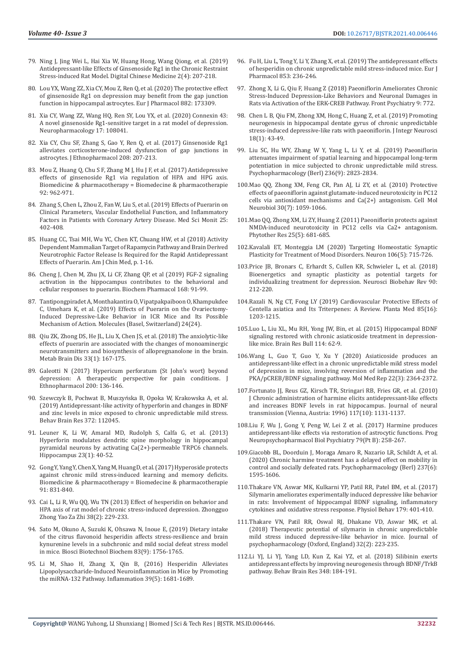- 79. [Ning J, Jing Wei L, Hai Xia W, Huang Hong, Wang Qiong, et al. \(2019\)](https://www.sciencedirect.com/science/article/pii/S2589377720300033)  [Antidepressant-like Effects of Ginsenoside Rg1 in the Chronic Restraint](https://www.sciencedirect.com/science/article/pii/S2589377720300033)  [Stress-induced Rat Model. Digital Chinese Medicine 2\(4\): 207-218.](https://www.sciencedirect.com/science/article/pii/S2589377720300033)
- 80. [Lou YX, Wang ZZ, Xia CY, Mou Z, Ren Q, et al. \(2020\) The protective effect](https://pubmed.ncbi.nlm.nih.gov/32598952/)  [of ginsenoside Rg1 on depression may benefit from the gap junction](https://pubmed.ncbi.nlm.nih.gov/32598952/)  [function in hippocampal astrocytes. Eur J Pharmacol 882: 173309.](https://pubmed.ncbi.nlm.nih.gov/32598952/)
- 81. [Xia CY, Wang ZZ, Wang HQ, Ren SY, Lou YX, et al. \(2020\) Connexin 43:](https://pubmed.ncbi.nlm.nih.gov/32213357/)  [A novel ginsenoside Rg1-sensitive target in a rat model of depression.](https://pubmed.ncbi.nlm.nih.gov/32213357/)  [Neuropharmacology 17: 108041.](https://pubmed.ncbi.nlm.nih.gov/32213357/)
- 82. [Xia CY, Chu SF, Zhang S, Gao Y, Ren Q, et al. \(2017\) Ginsenoside Rg1](https://pubmed.ncbi.nlm.nih.gov/28642095/)  [alleviates corticosterone-induced dysfunction of gap junctions in](https://pubmed.ncbi.nlm.nih.gov/28642095/)  [astrocytes. J Ethnopharmacol 208: 207-213.](https://pubmed.ncbi.nlm.nih.gov/28642095/)
- 83. [Mou Z, Huang Q, Chu S F, Zhang M J, Hu J F, et al. \(2017\) Antidepressive](https://pubmed.ncbi.nlm.nih.gov/28618657/)  [effects of ginsenoside Rg1 via regulation of HPA and HPG axis.](https://pubmed.ncbi.nlm.nih.gov/28618657/)  [Biomedicine & pharmacotherapy = Biomedecine & pharmacotherapie](https://pubmed.ncbi.nlm.nih.gov/28618657/)  [92: 962-971.](https://pubmed.ncbi.nlm.nih.gov/28618657/)
- 84. [Zhang S, Chen L, Zhou Z, Fan W, Liu S, et al. \(2019\) Effects of Puerarin on](https://pubmed.ncbi.nlm.nih.gov/30636768/)  [Clinical Parameters, Vascular Endothelial Function, and Inflammatory](https://pubmed.ncbi.nlm.nih.gov/30636768/)  [Factors in Patients with Coronary Artery Disease. Med Sci Monit 25:](https://pubmed.ncbi.nlm.nih.gov/30636768/)  [402-408.](https://pubmed.ncbi.nlm.nih.gov/30636768/)
- 85. [Huang CC, Tsai MH, Wu YC, Chen KT, Chuang HW, et al \(2018\) Activity](https://pubmed.ncbi.nlm.nih.gov/30284466/)  [Dependent Mammalian Target of Rapamycin Pathway and Brain Derived](https://pubmed.ncbi.nlm.nih.gov/30284466/)  [Neurotrophic Factor Release Is Required for the Rapid Antidepressant](https://pubmed.ncbi.nlm.nih.gov/30284466/)  [Effects of Puerarin. Am J Chin Med, p. 1-16.](https://pubmed.ncbi.nlm.nih.gov/30284466/)
- 86. [Cheng J, Chen M, Zhu JX, Li CF, Zhang QP, et al \(2019\) FGF-2 signaling](https://www.sciencedirect.com/science/article/abs/pii/S0006295219302539?dgcid=rss_sd_all)  [activation in the hippocampus contributes to the behavioral and](https://www.sciencedirect.com/science/article/abs/pii/S0006295219302539?dgcid=rss_sd_all)  [cellular responses to puerarin. Biochem Pharmacol 168: 91-99.](https://www.sciencedirect.com/science/article/abs/pii/S0006295219302539?dgcid=rss_sd_all)
- 87. [Tantipongpiradet A, Monthakantira O, Vipatpakpaiboon O, Khampukdee](https://www.ncbi.nlm.nih.gov/labs/pmc/articles/PMC6943479/)  [C, Umehara K, et al. \(2019\) Effects of Puerarin on the Ovariectomy-](https://www.ncbi.nlm.nih.gov/labs/pmc/articles/PMC6943479/)[Induced Depressive-Like Behavior in ICR Mice and Its Possible](https://www.ncbi.nlm.nih.gov/labs/pmc/articles/PMC6943479/)  [Mechanism of Action. Molecules \(Basel, Switzerland\) 24\(24\).](https://www.ncbi.nlm.nih.gov/labs/pmc/articles/PMC6943479/)
- 88. [Qiu ZK, Zhong DS, He JL, Liu X, Chen JS, et al. \(2018\) The anxiolytic-like](https://pubmed.ncbi.nlm.nih.gov/29101599/)  [effects of puerarin are associated with the changes of monoaminergic](https://pubmed.ncbi.nlm.nih.gov/29101599/)  [neurotransmitters and biosynthesis of allopregnanolone in the brain.](https://pubmed.ncbi.nlm.nih.gov/29101599/)  [Metab Brain Dis 33\(1\): 167-175.](https://pubmed.ncbi.nlm.nih.gov/29101599/)
- 89. [Galeotti N \(2017\) Hypericum perforatum \(St John's wort\) beyond](https://pubmed.ncbi.nlm.nih.gov/28216196/)  [depression: A therapeutic perspective for pain conditions. J](https://pubmed.ncbi.nlm.nih.gov/28216196/)  [Ethnopharmacol 200: 136-146.](https://pubmed.ncbi.nlm.nih.gov/28216196/)
- 90. Szewczyk B, Pochwat B, Muszyń[ska B, Opoka W, Krakowska A, et al.](https://pubmed.ncbi.nlm.nih.gov/31220487/)  [\(2019\) Antidepressant-like activity of hyperforin and changes in BDNF](https://pubmed.ncbi.nlm.nih.gov/31220487/)  [and zinc levels in mice exposed to chronic unpredictable mild stress.](https://pubmed.ncbi.nlm.nih.gov/31220487/)  [Behav Brain Res 372: 112045.](https://pubmed.ncbi.nlm.nih.gov/31220487/)
- 91. [Leuner K, Li W, Amaral MD, Rudolph S, Calfa G, et al. \(2013\)](https://www.ncbi.nlm.nih.gov/labs/pmc/articles/PMC3538039/)  [Hyperforin modulates dendritic spine morphology in hippocampal](https://www.ncbi.nlm.nih.gov/labs/pmc/articles/PMC3538039/)  [pyramidal neurons by activating Ca\(2+\)-permeable TRPC6 channels.](https://www.ncbi.nlm.nih.gov/labs/pmc/articles/PMC3538039/)  [Hippocampus 23\(1\): 40-52.](https://www.ncbi.nlm.nih.gov/labs/pmc/articles/PMC3538039/)
- 92. [Gong Y, Yang Y, Chen X, Yang M, Huang D, et al. \(2017\) Hyperoside protects](https://pubmed.ncbi.nlm.nih.gov/28501772/)  [against chronic mild stress-induced learning and memory deficits.](https://pubmed.ncbi.nlm.nih.gov/28501772/)  [Biomedicine & pharmacotherapy = Biomedecine & pharmacotherapie](https://pubmed.ncbi.nlm.nih.gov/28501772/)  [91: 831-840.](https://pubmed.ncbi.nlm.nih.gov/28501772/)
- 93. [Cai L, Li R, Wu QQ, Wu TN \(2013\) Effect of hesperidin on behavior and](https://pubmed.ncbi.nlm.nih.gov/23672047/)  [HPA axis of rat model of chronic stress-induced depression. Zhongguo](https://pubmed.ncbi.nlm.nih.gov/23672047/)  [Zhong Yao Za Zhi 38\(2\): 229-233.](https://pubmed.ncbi.nlm.nih.gov/23672047/)
- 94. [Sato M, Okuno A, Suzuki K, Ohsawa N, Inoue E, \(2019\) Dietary intake](https://pubmed.ncbi.nlm.nih.gov/31119994/)  [of the citrus flavonoid hesperidin affects stress-resilience and brain](https://pubmed.ncbi.nlm.nih.gov/31119994/)  [kynurenine levels in a subchronic and mild social defeat stress model](https://pubmed.ncbi.nlm.nih.gov/31119994/)  [in mice. Biosci Biotechnol Biochem 83\(9\): 1756-1765.](https://pubmed.ncbi.nlm.nih.gov/31119994/)
- 95. [Li M, Shao H, Zhang X, Qin B, \(2016\) Hesperidin Alleviates](https://pubmed.ncbi.nlm.nih.gov/27378528/)  [Lipopolysaccharide-Induced Neuroinflammation in Mice by Promoting](https://pubmed.ncbi.nlm.nih.gov/27378528/)  [the miRNA-132 Pathway. Inflammation 39\(5\): 1681-1689.](https://pubmed.ncbi.nlm.nih.gov/27378528/)
- 96. [Fu H, Liu L, Tong Y, Li Y, Zhang X, et al. \(2019\) The antidepressant effects](https://pubmed.ncbi.nlm.nih.gov/30928632/) [of hesperidin on chronic unpredictable mild stress-induced mice. Eur J](https://pubmed.ncbi.nlm.nih.gov/30928632/) [Pharmacol 853: 236-246.](https://pubmed.ncbi.nlm.nih.gov/30928632/)
- 97. [Zhong X, Li G, Qiu F, Huang Z \(2018\) Paeoniflorin Ameliorates Chronic](https://pubmed.ncbi.nlm.nih.gov/30692946/) [Stress-Induced Depression-Like Behaviors and Neuronal Damages in](https://pubmed.ncbi.nlm.nih.gov/30692946/) [Rats via Activation of the ERK-CREB Pathway. Front Psychiatry 9: 772.](https://pubmed.ncbi.nlm.nih.gov/30692946/)
- 98. [Chen L B, Qiu FM, Zhong XM, Hong C, Huang Z, et al. \(2019\) Promoting](https://pubmed.ncbi.nlm.nih.gov/31091847/) [neurogenesis in hippocampal dentate gyrus of chronic unpredictable](https://pubmed.ncbi.nlm.nih.gov/31091847/) [stress-induced depressive-like rats with paeoniflorin. J Integr Neurosci](https://pubmed.ncbi.nlm.nih.gov/31091847/) [18\(1\): 43-49.](https://pubmed.ncbi.nlm.nih.gov/31091847/)
- 99. [Liu SC, Hu WY, Zhang W Y, Yang L, Li Y, et al. \(2019\) Paeoniflorin](https://pubmed.ncbi.nlm.nih.gov/31115613/) [attenuates impairment of spatial learning and hippocampal long-term](https://pubmed.ncbi.nlm.nih.gov/31115613/) [potentiation in mice subjected to chronic unpredictable mild stress.](https://pubmed.ncbi.nlm.nih.gov/31115613/) [Psychopharmacology \(Berl\) 236\(9\): 2823-2834.](https://pubmed.ncbi.nlm.nih.gov/31115613/)
- 100.[Mao QQ, Zhong XM, Feng CR, Pan AJ, Li ZY, et al. \(2010\) Protective](https://pubmed.ncbi.nlm.nih.gov/20577899/) [effects of paeoniflorin against glutamate-induced neurotoxicity in PC12](https://pubmed.ncbi.nlm.nih.gov/20577899/) [cells via antioxidant mechanisms and Ca\(2+\) antagonism. Cell Mol](https://pubmed.ncbi.nlm.nih.gov/20577899/) [Neurobiol 30\(7\): 1059-1066.](https://pubmed.ncbi.nlm.nih.gov/20577899/)
- 101.[Mao QQ, Zhong XM, Li ZY, Huang Z \(2011\) Paeoniflorin protects against](https://pubmed.ncbi.nlm.nih.gov/21043034/) [NMDA-induced neurotoxicity in PC12 cells via Ca2+ antagonism.](https://pubmed.ncbi.nlm.nih.gov/21043034/) [Phytother Res 25\(5\): 681-685.](https://pubmed.ncbi.nlm.nih.gov/21043034/)
- 102.[Kavalali ET, Monteggia LM \(2020\) Targeting Homeostatic Synaptic](https://pubmed.ncbi.nlm.nih.gov/32497508/) [Plasticity for Treatment of Mood Disorders. Neuron 106\(5\): 715-726.](https://pubmed.ncbi.nlm.nih.gov/32497508/)
- 103.[Price JB, Bronars C, Erhardt S, Cullen KR, Schwieler L, et al. \(2018\)](https://pubmed.ncbi.nlm.nih.gov/29656032/) [Bioenergetics and synaptic plasticity as potential targets for](https://pubmed.ncbi.nlm.nih.gov/29656032/) [individualizing treatment for depression. Neurosci Biobehav Rev 90:](https://pubmed.ncbi.nlm.nih.gov/29656032/) [212-220.](https://pubmed.ncbi.nlm.nih.gov/29656032/)
- 104.[Razali N, Ng CT, Fong LY \(2019\) Cardiovascular Protective Effects of](https://pubmed.ncbi.nlm.nih.gov/31539918/) [Centella asiatica and Its Triterpenes: A Review. Planta Med 85\(16\):](https://pubmed.ncbi.nlm.nih.gov/31539918/) [1203-1215.](https://pubmed.ncbi.nlm.nih.gov/31539918/)
- 105.[Luo L, Liu XL, Mu RH, Yong JW, Bin, et al. \(2015\) Hippocampal BDNF](https://pubmed.ncbi.nlm.nih.gov/25857945/) [signaling restored with chronic asiaticoside treatment in depression](https://pubmed.ncbi.nlm.nih.gov/25857945/)[like mice. Brain Res Bull 114: 62-9.](https://pubmed.ncbi.nlm.nih.gov/25857945/)
- 106.[Wang L, Guo T, Guo Y, Xu Y \(2020\) Asiaticoside produces an](https://www.ncbi.nlm.nih.gov/labs/pmc/articles/PMC7411460/) [antidepressant-like effect in a chronic unpredictable mild stress model](https://www.ncbi.nlm.nih.gov/labs/pmc/articles/PMC7411460/) [of depression in mice, involving reversion of inflammation and the](https://www.ncbi.nlm.nih.gov/labs/pmc/articles/PMC7411460/) [PKA/pCREB/BDNF signaling pathway. Mol Med Rep 22\(3\): 2364-2372.](https://www.ncbi.nlm.nih.gov/labs/pmc/articles/PMC7411460/)
- 107.[Fortunato JJ, Reus GZ, Kirsch TR, Stringari RB, Fries GR, et al. \(2010\)](https://pubmed.ncbi.nlm.nih.gov/20686906/) [J Chronic administration of harmine elicits antidepressant-like effects](https://pubmed.ncbi.nlm.nih.gov/20686906/) [and increases BDNF levels in rat hippocampus. Journal of neural](https://pubmed.ncbi.nlm.nih.gov/20686906/) [transmission \(Vienna, Austria: 1996\) 117\(10\): 1131-1137.](https://pubmed.ncbi.nlm.nih.gov/20686906/)
- 108.[Liu F, Wu J, Gong Y, Peng W, Lei Z et al. \(2017\) Harmine produces](https://pubmed.ncbi.nlm.nih.gov/28625859/) [antidepressant-like effects via restoration of astrocytic functions. Prog](https://pubmed.ncbi.nlm.nih.gov/28625859/) [Neuropsychopharmacol Biol Psychiatry 79\(Pt B\): 258-267.](https://pubmed.ncbi.nlm.nih.gov/28625859/)
- 109.[Giacobb BL, Doorduin J, Moraga Amaro R, Nazario LR, Schildt A, et al.](https://pubmed.ncbi.nlm.nih.gov/32088835/) [\(2020\) Chronic harmine treatment has a delayed effect on mobility in](https://pubmed.ncbi.nlm.nih.gov/32088835/) [control and socially defeated rats. Psychopharmacology \(Berl\) 237\(6\):](https://pubmed.ncbi.nlm.nih.gov/32088835/) [1595-1606.](https://pubmed.ncbi.nlm.nih.gov/32088835/)
- 110.[Thakare VN, Aswar MK, Kulkarni YP, Patil RR, Patel BM, et al. \(2017\)](https://pubmed.ncbi.nlm.nih.gov/28711395/) [Silymarin ameliorates experimentally induced depressive like behavior](https://pubmed.ncbi.nlm.nih.gov/28711395/) [in rats: Involvement of hippocampal BDNF signaling, inflammatory](https://pubmed.ncbi.nlm.nih.gov/28711395/) [cytokines and oxidative stress response. Physiol Behav 179: 401-410.](https://pubmed.ncbi.nlm.nih.gov/28711395/)
- 111.[Thakare VN, Patil RR, Oswal RJ, Dhakane VD, Aswar MK, et al.](https://pubmed.ncbi.nlm.nih.gov/29215318/) [\(2018\) Therapeutic potential of silymarin in chronic unpredictable](https://pubmed.ncbi.nlm.nih.gov/29215318/) [mild stress induced depressive-like behavior in mice. Journal of](https://pubmed.ncbi.nlm.nih.gov/29215318/) [psychopharmacology \(Oxford, England\) 32\(2\): 223-235.](https://pubmed.ncbi.nlm.nih.gov/29215318/)
- 112.[Li YJ, Li YJ, Yang LD, Kun Z, Kai YZ, et al. \(2018\) Silibinin exerts](https://pubmed.ncbi.nlm.nih.gov/29680784/) [antidepressant effects by improving neurogenesis through BDNF/TrkB](https://pubmed.ncbi.nlm.nih.gov/29680784/) [pathway. Behav Brain Res 348: 184-191.](https://pubmed.ncbi.nlm.nih.gov/29680784/)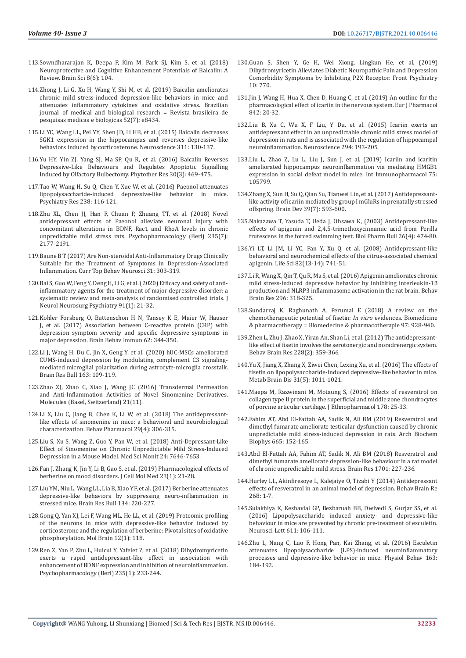- 113.[Sowndhararajan K, Deepa P, Kim M, Park SJ, Kim S, et al. \(2018\)](https://pubmed.ncbi.nlm.nih.gov/29891783/)  [Neuroprotective and Cognitive Enhancement Potentials of Baicalin: A](https://pubmed.ncbi.nlm.nih.gov/29891783/)  [Review. Brain Sci 8\(6\): 104.](https://pubmed.ncbi.nlm.nih.gov/29891783/)
- 114.[Zhong J, Li G, Xu H, Wang Y, Shi M, et al. \(2019\) Baicalin ameliorates](https://pubmed.ncbi.nlm.nih.gov/31241715/)  [chronic mild stress-induced depression-like behaviors in mice and](https://pubmed.ncbi.nlm.nih.gov/31241715/)  [attenuates inflammatory cytokines and oxidative stress. Brazilian](https://pubmed.ncbi.nlm.nih.gov/31241715/)  [journal of medical and biological research = Revista brasileira de](https://pubmed.ncbi.nlm.nih.gov/31241715/)  [pesquisas medicas e biologicas 52\(7\): e8434.](https://pubmed.ncbi.nlm.nih.gov/31241715/)
- 115.[Li YC, Wang LL, Pei YY, Shen JD, Li HB, et al. \(2015\) Baicalin decreases](https://pubmed.ncbi.nlm.nih.gov/26480816/)  [SGK1 expression in the hippocampus and reverses depressive-like](https://pubmed.ncbi.nlm.nih.gov/26480816/)  [behaviors induced by corticosterone. Neuroscience 311: 130-137.](https://pubmed.ncbi.nlm.nih.gov/26480816/)
- 116.[Yu HY, Yin ZJ, Yang SJ, Ma SP, Qu R, et al. \(2016\) Baicalin Reverses](https://pubmed.ncbi.nlm.nih.gov/26681067/)  [Depressive-Like Behaviours and Regulates Apoptotic Signalling](https://pubmed.ncbi.nlm.nih.gov/26681067/)  [Induced by Olfactory Bulbectomy. Phytother Res 30\(3\): 469-475.](https://pubmed.ncbi.nlm.nih.gov/26681067/)
- 117.[Tao W, Wang H, Su Q, Chen Y, Xue W, et al. \(2016\) Paeonol attenuates](https://pubmed.ncbi.nlm.nih.gov/27086220/)  [lipopolysaccharide-induced depressive-like behavior in mice.](https://pubmed.ncbi.nlm.nih.gov/27086220/)  [Psychiatry Res 238: 116-121.](https://pubmed.ncbi.nlm.nih.gov/27086220/)
- 118.[Zhu XL, Chen JJ, Han F, Chuan P, Zhuang TT, et al. \(2018\) Novel](https://pubmed.ncbi.nlm.nih.gov/29752492/)  [antidepressant effects of Paeonol alleviate neuronal injury with](https://pubmed.ncbi.nlm.nih.gov/29752492/)  [concomitant alterations in BDNF, Rac1 and RhoA levels in chronic](https://pubmed.ncbi.nlm.nih.gov/29752492/)  [unpredictable mild stress rats. Psychopharmacology \(Berl\) 235\(7\):](https://pubmed.ncbi.nlm.nih.gov/29752492/)  [2177-2191.](https://pubmed.ncbi.nlm.nih.gov/29752492/)
- 119.[Baune B T \(2017\) Are Non-steroidal Anti-Inflammatory Drugs Clinically](https://pubmed.ncbi.nlm.nih.gov/27405497/)  [Suitable for the Treatment of Symptoms in Depression-Associated](https://pubmed.ncbi.nlm.nih.gov/27405497/)  [Inflammation. Curr Top Behav Neurosci 31: 303-319.](https://pubmed.ncbi.nlm.nih.gov/27405497/)
- 120.[Bai S, Guo W, Feng Y, Deng H, Li G, et al. \(2020\) Efficacy and safety of anti](https://pubmed.ncbi.nlm.nih.gov/31658959/)[inflammatory agents for the treatment of major depressive disorder: a](https://pubmed.ncbi.nlm.nih.gov/31658959/)  [systematic review and meta-analysis of randomised controlled trials. J](https://pubmed.ncbi.nlm.nih.gov/31658959/)  [Neurol Neurosurg Psychiatry 91\(1\): 21-32.](https://pubmed.ncbi.nlm.nih.gov/31658959/)
- 121.[Kohler Forsberg O, Buttenschon H N, Tansey K E, Maier W, Hauser](https://pubmed.ncbi.nlm.nih.gov/28257825/)  [J, et al. \(2017\) Association between C-reactive protein \(CRP\) with](https://pubmed.ncbi.nlm.nih.gov/28257825/)  [depression symptom severity and specific depressive symptoms in](https://pubmed.ncbi.nlm.nih.gov/28257825/)  [major depression. Brain Behav Immun 62: 344-350.](https://pubmed.ncbi.nlm.nih.gov/28257825/)
- 122.[Li J, Wang H, Du C, Jin X, Geng Y, et al. \(2020\) hUC-MSCs ameliorated](https://pubmed.ncbi.nlm.nih.gov/32681971/)  [CUMS-induced depression by modulating complement C3 signaling](https://pubmed.ncbi.nlm.nih.gov/32681971/)[mediated microglial polarization during astrocyte-microglia crosstalk.](https://pubmed.ncbi.nlm.nih.gov/32681971/)  [Brain Res Bull 163: 109-119.](https://pubmed.ncbi.nlm.nih.gov/32681971/)
- 123.[Zhao ZJ, Zhao C, Xiao J, Wang JC \(2016\) Transdermal Permeation](https://www.ncbi.nlm.nih.gov/labs/pmc/articles/PMC6273864/)  [and Anti-Inflammation Activities of Novel Sinomenine Derivatives.](https://www.ncbi.nlm.nih.gov/labs/pmc/articles/PMC6273864/)  [Molecules \(Basel, Switzerland\) 21\(11\).](https://www.ncbi.nlm.nih.gov/labs/pmc/articles/PMC6273864/)
- 124.[Li X, Liu C, Jiang B, Chen K, Li W, et al. \(2018\) The antidepressant](https://pubmed.ncbi.nlm.nih.gov/29035920/)[like effects of sinomenine in mice: a behavioral and neurobiological](https://pubmed.ncbi.nlm.nih.gov/29035920/)  [characterization. Behav Pharmacol 29\(4\): 306-315.](https://pubmed.ncbi.nlm.nih.gov/29035920/)
- 125.[Liu S, Xu S, Wang Z, Guo Y, Pan W, et al. \(2018\) Anti-Depressant-Like](https://pubmed.ncbi.nlm.nih.gov/30362468/)  [Effect of Sinomenine on Chronic Unpredictable Mild Stress-Induced](https://pubmed.ncbi.nlm.nih.gov/30362468/)  [Depression in a Mouse Model. Med Sci Monit 24: 7646-7653.](https://pubmed.ncbi.nlm.nih.gov/30362468/)
- 126.[Fan J, Zhang K, Jin Y, Li B, Gao S, et al. \(2019\) Pharmacological effects of](https://pubmed.ncbi.nlm.nih.gov/30450823/)  [berberine on mood disorders. J Cell Mol Med 23\(1\): 21-28.](https://pubmed.ncbi.nlm.nih.gov/30450823/)
- 127.[Liu YM, Niu L, Wang LL, Lia B, Xiao YF, et al. \(2017\) Berberine attenuates](https://pubmed.ncbi.nlm.nih.gov/28842306/)  [depressive-like behaviors by suppressing neuro-inflammation in](https://pubmed.ncbi.nlm.nih.gov/28842306/)  [stressed mice. Brain Res Bull 134: 220-227.](https://pubmed.ncbi.nlm.nih.gov/28842306/)
- 128.[Gong Q, Yan XJ, Lei F, Wang ML, He LL, et al. \(2019\) Proteomic profiling](https://pubmed.ncbi.nlm.nih.gov/31888678/)  [of the neurons in mice with depressive-like behavior induced by](https://pubmed.ncbi.nlm.nih.gov/31888678/)  [corticosterone and the regulation of berberine: Pivotal sites of oxidative](https://pubmed.ncbi.nlm.nih.gov/31888678/)  [phosphorylation. Mol Brain 12\(1\): 118.](https://pubmed.ncbi.nlm.nih.gov/31888678/)
- 129.[Ren Z, Yan P, Zhu L, Huicui Y, Yafeiet Z, et al. \(2018\) Dihydromyricetin](https://pubmed.ncbi.nlm.nih.gov/29058041/)  [exerts a rapid antidepressant-like effect in association with](https://pubmed.ncbi.nlm.nih.gov/29058041/)  [enhancement of BDNF expression and inhibition of neuroinflammation.](https://pubmed.ncbi.nlm.nih.gov/29058041/)  [Psychopharmacology \(Berl\) 235\(1\): 233-244.](https://pubmed.ncbi.nlm.nih.gov/29058041/)
- 130.[Guan S, Shen Y, Ge H, Wei Xiong, Lingkun He, et al. \(2019\)](https://pubmed.ncbi.nlm.nih.gov/31681052/) [Dihydromyricetin Alleviates Diabetic Neuropathic Pain and Depression](https://pubmed.ncbi.nlm.nih.gov/31681052/) [Comorbidity Symptoms by Inhibiting P2X Receptor. Front Psychiatry](https://pubmed.ncbi.nlm.nih.gov/31681052/) [10: 770.](https://pubmed.ncbi.nlm.nih.gov/31681052/)
- 131.[Jin J, Wang H, Hua X, Chen D, Huang C, et al. \(2019\) An outline for the](https://pubmed.ncbi.nlm.nih.gov/30342950/) [pharmacological effect of icariin in the nervous system. Eur J Pharmacol](https://pubmed.ncbi.nlm.nih.gov/30342950/) [842: 20-32.](https://pubmed.ncbi.nlm.nih.gov/30342950/)
- 132.[Liu B, Xu C, Wu X, F Liu, Y Du, et al. \(2015\) Icariin exerts an](https://pubmed.ncbi.nlm.nih.gov/25791226/) [antidepressant effect in an unpredictable chronic mild stress model of](https://pubmed.ncbi.nlm.nih.gov/25791226/) [depression in rats and is associated with the regulation of hippocampal](https://pubmed.ncbi.nlm.nih.gov/25791226/) [neuroinflammation. Neuroscience 294: 193-205.](https://pubmed.ncbi.nlm.nih.gov/25791226/)
- 133.[Liu L, Zhao Z, Lu L, Liu J, Sun J, et al. \(2019\) Icariin and icaritin](https://pubmed.ncbi.nlm.nih.gov/31401387/) [ameliorated hippocampus neuroinflammation via mediating HMGB1](https://pubmed.ncbi.nlm.nih.gov/31401387/) [expression in social defeat model in mice. Int Immunopharmacol 75:](https://pubmed.ncbi.nlm.nih.gov/31401387/) [105799.](https://pubmed.ncbi.nlm.nih.gov/31401387/)
- 134.[Zhang X, Sun H, Su Q, Qian Su, Tianwei Lin, et al. \(2017\) Antidepressant](https://pubmed.ncbi.nlm.nih.gov/28395974/)[like activity of icariin mediated by group I mGluRs in prenatally stressed](https://pubmed.ncbi.nlm.nih.gov/28395974/) [offspring. Brain Dev 39\(7\): 593-600.](https://pubmed.ncbi.nlm.nih.gov/28395974/)
- 135.[Nakazawa T, Yasuda T, Ueda J, Ohsawa K, \(2003\) Antidepressant-like](https://pubmed.ncbi.nlm.nih.gov/12673028/) [effects of apigenin and 2,4,5-trimethoxycinnamic acid from Perilla](https://pubmed.ncbi.nlm.nih.gov/12673028/) [frutescens in the forced swimming test. Biol Pharm Bull 26\(4\): 474-80.](https://pubmed.ncbi.nlm.nih.gov/12673028/)
- 136.[Yi LT, Li JM, Li YC, Pan Y, Xu Q, et al. \(2008\) Antidepressant-like](https://pubmed.ncbi.nlm.nih.gov/18308340/) [behavioral and neurochemical effects of the citrus-associated chemical](https://pubmed.ncbi.nlm.nih.gov/18308340/) [apigenin. Life Sci 82\(13-14\): 741-51.](https://pubmed.ncbi.nlm.nih.gov/18308340/)
- 137.[Li R, Wang X, Qin T, Qu R, Ma S, et al. \(2016\) Apigenin ameliorates chronic](https://pubmed.ncbi.nlm.nih.gov/26416673/) [mild stress-induced depressive behavior by inhibiting interleukin-1](https://pubmed.ncbi.nlm.nih.gov/26416673/)β [production and NLRP3 inflammasome activation in the rat brain. Behav](https://pubmed.ncbi.nlm.nih.gov/26416673/) [Brain Res 296: 318-325.](https://pubmed.ncbi.nlm.nih.gov/26416673/)
- 138.[Sundarraj K, Raghunath A, Perumal E \(2018\) A review on the](https://pubmed.ncbi.nlm.nih.gov/29136771/) [chemotherapeutic potential of fisetin:](https://pubmed.ncbi.nlm.nih.gov/29136771/) *In vitro* evidences. Biomedicine [& pharmacotherapy = Biomedecine & pharmacotherapie 97: 928-940.](https://pubmed.ncbi.nlm.nih.gov/29136771/)
- 139.[Zhen L, Zhu J, Zhao X, Yiran An, Shan Li, et al. \(2012\) The antidepressant](https://pubmed.ncbi.nlm.nih.gov/22197297/)[like effect of fisetin involves the serotonergic and noradrenergic system.](https://pubmed.ncbi.nlm.nih.gov/22197297/) [Behav Brain Res 228\(2\): 359-366.](https://pubmed.ncbi.nlm.nih.gov/22197297/)
- 140.[Yu X, Jiang X, Zhang X, Ziwei Chen, Lexing Xu, et al. \(2016\) The effects of](https://pubmed.ncbi.nlm.nih.gov/27209403/) [fisetin on lipopolysaccharide-induced depressive-like behavior in mice.](https://pubmed.ncbi.nlm.nih.gov/27209403/) [Metab Brain Dis 31\(5\): 1011-1021.](https://pubmed.ncbi.nlm.nih.gov/27209403/)
- 141.[Maepa M, Razwinani M, Motaung S, \(2016\) Effects of resveratrol on](https://pubmed.ncbi.nlm.nih.gov/26647105/) [collagen type II protein in the superficial and middle zone chondrocytes](https://pubmed.ncbi.nlm.nih.gov/26647105/) [of porcine articular cartilage. J Ethnopharmacol 178: 25-33.](https://pubmed.ncbi.nlm.nih.gov/26647105/)
- 142.[Fahim AT, Abd El-Fattah AA, Sadik N, Ali BM \(2019\) Resveratrol and](https://pubmed.ncbi.nlm.nih.gov/30904419/) [dimethyl fumarate ameliorate testicular dysfunction caused by chronic](https://pubmed.ncbi.nlm.nih.gov/30904419/) [unpredictable mild stress-induced depression in rats. Arch Biochem](https://pubmed.ncbi.nlm.nih.gov/30904419/) [Biophys 665: 152-165.](https://pubmed.ncbi.nlm.nih.gov/30904419/)
- 143.[Abd El-Fattah AA, Fahim AT, Sadik N, Ali BM \(2018\) Resveratrol and](https://pubmed.ncbi.nlm.nih.gov/30244113/) [dimethyl fumarate ameliorate depression-like behaviour in a rat model](https://pubmed.ncbi.nlm.nih.gov/30244113/) [of chronic unpredictable mild stress. Brain Res 1701: 227-236.](https://pubmed.ncbi.nlm.nih.gov/30244113/)
- 144.[Hurley LL, Akinfiresoye L, Kalejaiye O, Tizabi Y \(2014\) Antidepressant](https://www.ncbi.nlm.nih.gov/labs/pmc/articles/PMC4033784/) [effects of resveratrol in an animal model of depression. Behav Brain Re](https://www.ncbi.nlm.nih.gov/labs/pmc/articles/PMC4033784/) [268: 1-7.](https://www.ncbi.nlm.nih.gov/labs/pmc/articles/PMC4033784/)
- 145.[Sulakhiya K, Keshavlal GP, Bezbaruah BB, Dwivedi S, Gurjar SS, et al.](https://pubmed.ncbi.nlm.nih.gov/26620836/) [\(2016\) Lipopolysaccharide induced anxiety- and depressive-like](https://pubmed.ncbi.nlm.nih.gov/26620836/) [behaviour in mice are prevented by chronic pre-treatment of esculetin.](https://pubmed.ncbi.nlm.nih.gov/26620836/) [Neurosci Lett 611: 106-111.](https://pubmed.ncbi.nlm.nih.gov/26620836/)
- 146.[Zhu L, Nang C, Luo F, Hong Pan, Kai Zhang, et al. \(2016\) Esculetin](https://pubmed.ncbi.nlm.nih.gov/27133730/) [attenuates lipopolysaccharide \(LPS\)-induced neuroinflammatory](https://pubmed.ncbi.nlm.nih.gov/27133730/) [processes and depressive-like behavior in mice. Physiol Behav 163:](https://pubmed.ncbi.nlm.nih.gov/27133730/) [184-192.](https://pubmed.ncbi.nlm.nih.gov/27133730/)